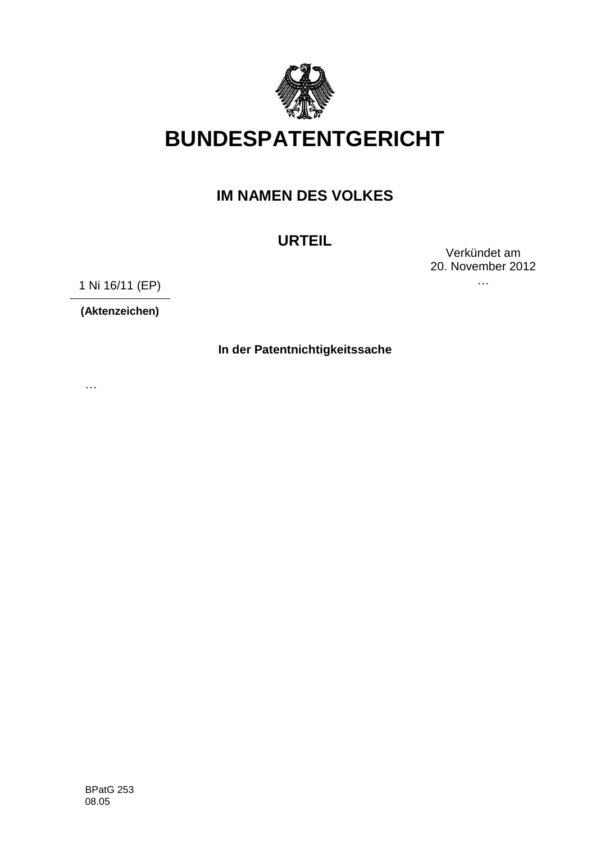

# **BUNDESPATENTGERICHT**

## **IM NAMEN DES VOLKES**

# **URTEIL**

Verkündet am 20. November 2012 …

1 Ni 16/11 (EP)

**(Aktenzeichen)**

**In der Patentnichtigkeitssache**

…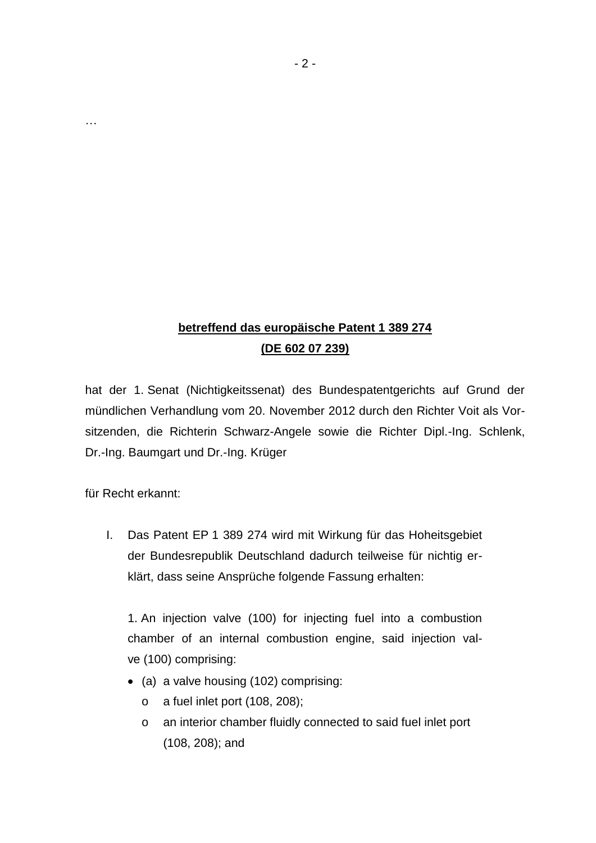## **betreffend das europäische Patent 1 389 274 (DE 602 07 239)**

hat der 1. Senat (Nichtigkeitssenat) des Bundespatentgerichts auf Grund der mündlichen Verhandlung vom 20. November 2012 durch den Richter Voit als Vorsitzenden, die Richterin Schwarz-Angele sowie die Richter Dipl.-Ing. Schlenk, Dr.-Ing. Baumgart und Dr.-Ing. Krüger

für Recht erkannt:

…

I. Das Patent EP 1 389 274 wird mit Wirkung für das Hoheitsgebiet der Bundesrepublik Deutschland dadurch teilweise für nichtig erklärt, dass seine Ansprüche folgende Fassung erhalten:

1. An injection valve (100) for injecting fuel into a combustion chamber of an internal combustion engine, said injection valve (100) comprising:

- (a) a valve housing (102) comprising:
	- o a fuel inlet port (108, 208);
	- o an interior chamber fluidly connected to said fuel inlet port (108, 208); and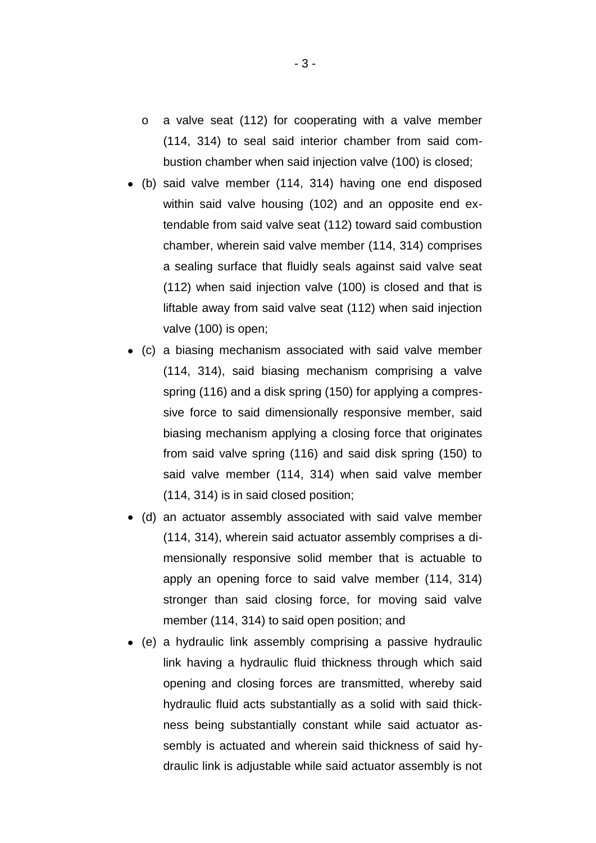- o a valve seat (112) for cooperating with a valve member (114, 314) to seal said interior chamber from said combustion chamber when said injection valve (100) is closed;
- (b) said valve member (114, 314) having one end disposed within said valve housing (102) and an opposite end extendable from said valve seat (112) toward said combustion chamber, wherein said valve member (114, 314) comprises a sealing surface that fluidly seals against said valve seat (112) when said injection valve (100) is closed and that is liftable away from said valve seat (112) when said injection valve (100) is open;
- (c) a biasing mechanism associated with said valve member (114, 314), said biasing mechanism comprising a valve spring (116) and a disk spring (150) for applying a compressive force to said dimensionally responsive member, said biasing mechanism applying a closing force that originates from said valve spring (116) and said disk spring (150) to said valve member (114, 314) when said valve member (114, 314) is in said closed position;
- (d) an actuator assembly associated with said valve member (114, 314), wherein said actuator assembly comprises a dimensionally responsive solid member that is actuable to apply an opening force to said valve member (114, 314) stronger than said closing force, for moving said valve member (114, 314) to said open position; and
- (e) a hydraulic link assembly comprising a passive hydraulic link having a hydraulic fluid thickness through which said opening and closing forces are transmitted, whereby said hydraulic fluid acts substantially as a solid with said thickness being substantially constant while said actuator assembly is actuated and wherein said thickness of said hydraulic link is adjustable while said actuator assembly is not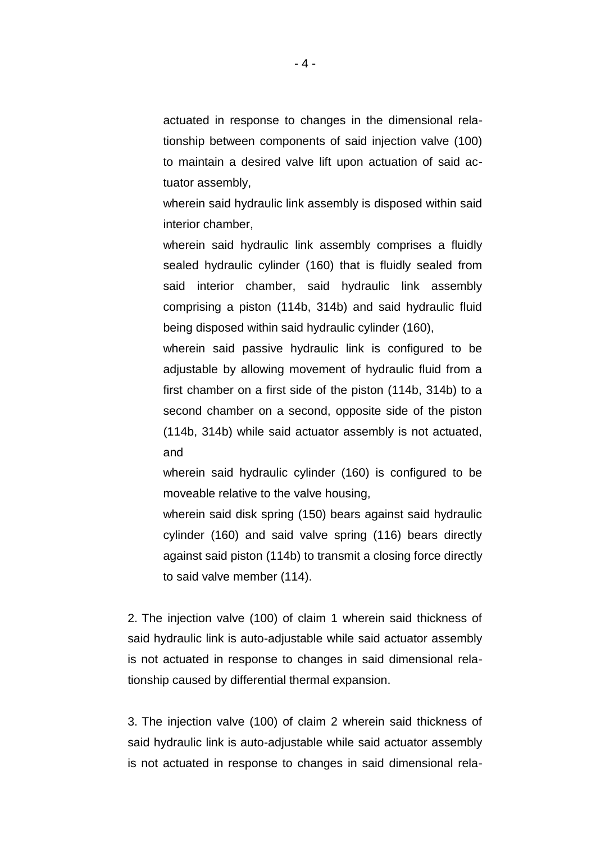actuated in response to changes in the dimensional relationship between components of said injection valve (100) to maintain a desired valve lift upon actuation of said actuator assembly,

wherein said hydraulic link assembly is disposed within said interior chamber,

wherein said hydraulic link assembly comprises a fluidly sealed hydraulic cylinder (160) that is fluidly sealed from said interior chamber, said hydraulic link assembly comprising a piston (114b, 314b) and said hydraulic fluid being disposed within said hydraulic cylinder (160),

wherein said passive hydraulic link is configured to be adjustable by allowing movement of hydraulic fluid from a first chamber on a first side of the piston (114b, 314b) to a second chamber on a second, opposite side of the piston (114b, 314b) while said actuator assembly is not actuated, and

wherein said hydraulic cylinder (160) is configured to be moveable relative to the valve housing,

wherein said disk spring (150) bears against said hydraulic cylinder (160) and said valve spring (116) bears directly against said piston (114b) to transmit a closing force directly to said valve member (114).

2. The injection valve (100) of claim 1 wherein said thickness of said hydraulic link is auto-adjustable while said actuator assembly is not actuated in response to changes in said dimensional relationship caused by differential thermal expansion.

3. The injection valve (100) of claim 2 wherein said thickness of said hydraulic link is auto-adjustable while said actuator assembly is not actuated in response to changes in said dimensional rela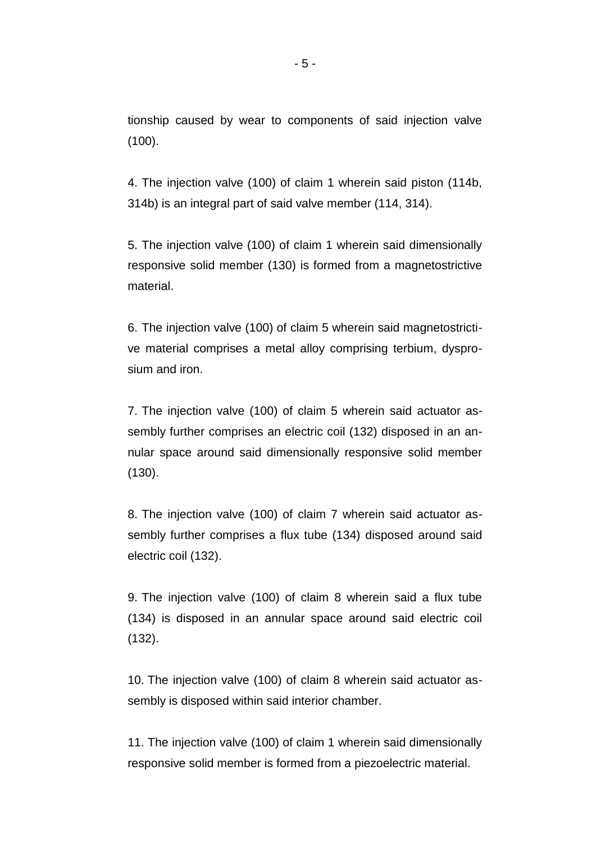tionship caused by wear to components of said injection valve (100).

4. The injection valve (100) of claim 1 wherein said piston (114b, 314b) is an integral part of said valve member (114, 314).

5. The injection valve (100) of claim 1 wherein said dimensionally responsive solid member (130) is formed from a magnetostrictive material.

6. The injection valve (100) of claim 5 wherein said magnetostrictive material comprises a metal alloy comprising terbium, dysprosium and iron.

7. The injection valve (100) of claim 5 wherein said actuator assembly further comprises an electric coil (132) disposed in an annular space around said dimensionally responsive solid member (130).

8. The injection valve (100) of claim 7 wherein said actuator assembly further comprises a flux tube (134) disposed around said electric coil (132).

9. The injection valve (100) of claim 8 wherein said a flux tube (134) is disposed in an annular space around said electric coil (132).

10. The injection valve (100) of claim 8 wherein said actuator assembly is disposed within said interior chamber.

11. The injection valve (100) of claim 1 wherein said dimensionally responsive solid member is formed from a piezoelectric material.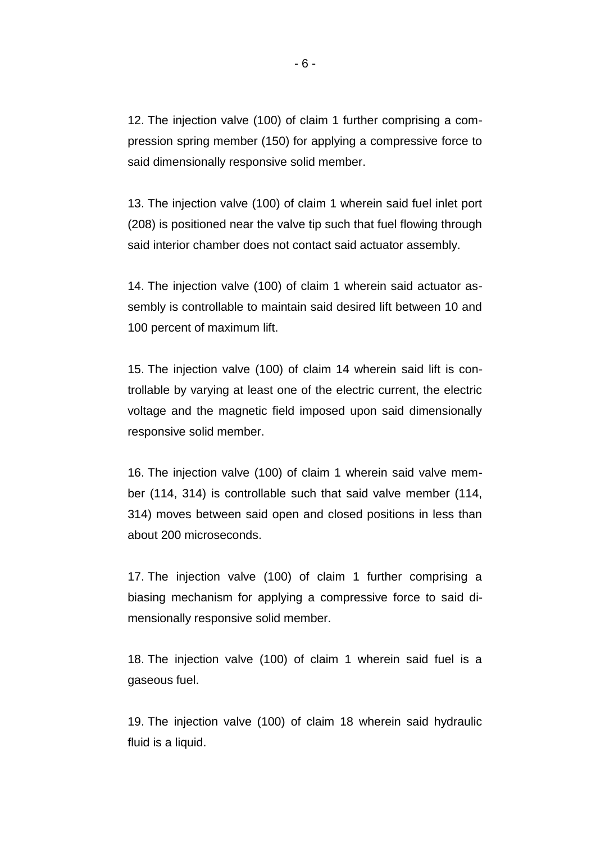12. The injection valve (100) of claim 1 further comprising a compression spring member (150) for applying a compressive force to said dimensionally responsive solid member.

13. The injection valve (100) of claim 1 wherein said fuel inlet port (208) is positioned near the valve tip such that fuel flowing through said interior chamber does not contact said actuator assembly.

14. The injection valve (100) of claim 1 wherein said actuator assembly is controllable to maintain said desired lift between 10 and 100 percent of maximum lift.

15. The injection valve (100) of claim 14 wherein said lift is controllable by varying at least one of the electric current, the electric voltage and the magnetic field imposed upon said dimensionally responsive solid member.

16. The injection valve (100) of claim 1 wherein said valve member (114, 314) is controllable such that said valve member (114, 314) moves between said open and closed positions in less than about 200 microseconds.

17. The injection valve (100) of claim 1 further comprising a biasing mechanism for applying a compressive force to said dimensionally responsive solid member.

18. The injection valve (100) of claim 1 wherein said fuel is a gaseous fuel.

19. The injection valve (100) of claim 18 wherein said hydraulic fluid is a liquid.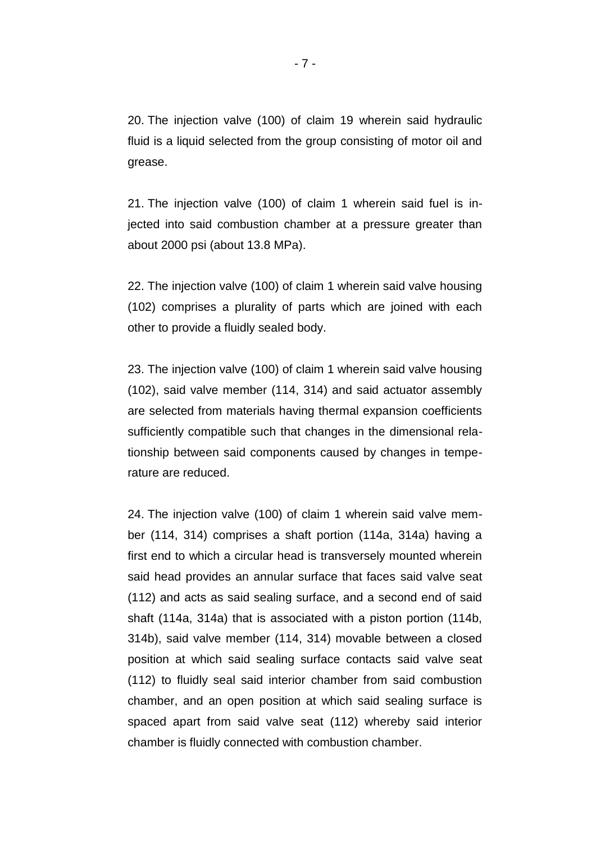20. The injection valve (100) of claim 19 wherein said hydraulic fluid is a liquid selected from the group consisting of motor oil and grease.

21. The injection valve (100) of claim 1 wherein said fuel is injected into said combustion chamber at a pressure greater than about 2000 psi (about 13.8 MPa).

22. The injection valve (100) of claim 1 wherein said valve housing (102) comprises a plurality of parts which are joined with each other to provide a fluidly sealed body.

23. The injection valve (100) of claim 1 wherein said valve housing (102), said valve member (114, 314) and said actuator assembly are selected from materials having thermal expansion coefficients sufficiently compatible such that changes in the dimensional relationship between said components caused by changes in temperature are reduced.

24. The injection valve (100) of claim 1 wherein said valve member (114, 314) comprises a shaft portion (114a, 314a) having a first end to which a circular head is transversely mounted wherein said head provides an annular surface that faces said valve seat (112) and acts as said sealing surface, and a second end of said shaft (114a, 314a) that is associated with a piston portion (114b, 314b), said valve member (114, 314) movable between a closed position at which said sealing surface contacts said valve seat (112) to fluidly seal said interior chamber from said combustion chamber, and an open position at which said sealing surface is spaced apart from said valve seat (112) whereby said interior chamber is fluidly connected with combustion chamber.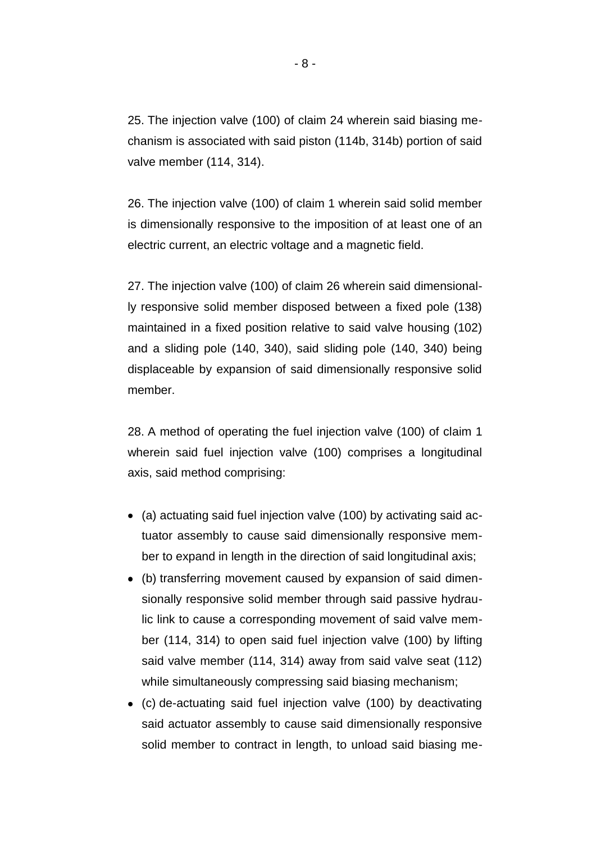25. The injection valve (100) of claim 24 wherein said biasing mechanism is associated with said piston (114b, 314b) portion of said valve member (114, 314).

26. The injection valve (100) of claim 1 wherein said solid member is dimensionally responsive to the imposition of at least one of an electric current, an electric voltage and a magnetic field.

27. The injection valve (100) of claim 26 wherein said dimensionally responsive solid member disposed between a fixed pole (138) maintained in a fixed position relative to said valve housing (102) and a sliding pole (140, 340), said sliding pole (140, 340) being displaceable by expansion of said dimensionally responsive solid member.

28. A method of operating the fuel injection valve (100) of claim 1 wherein said fuel injection valve (100) comprises a longitudinal axis, said method comprising:

- (a) actuating said fuel injection valve (100) by activating said actuator assembly to cause said dimensionally responsive member to expand in length in the direction of said longitudinal axis;
- (b) transferring movement caused by expansion of said dimensionally responsive solid member through said passive hydraulic link to cause a corresponding movement of said valve member (114, 314) to open said fuel injection valve (100) by lifting said valve member (114, 314) away from said valve seat (112) while simultaneously compressing said biasing mechanism;
- (c) de-actuating said fuel injection valve (100) by deactivating said actuator assembly to cause said dimensionally responsive solid member to contract in length, to unload said biasing me-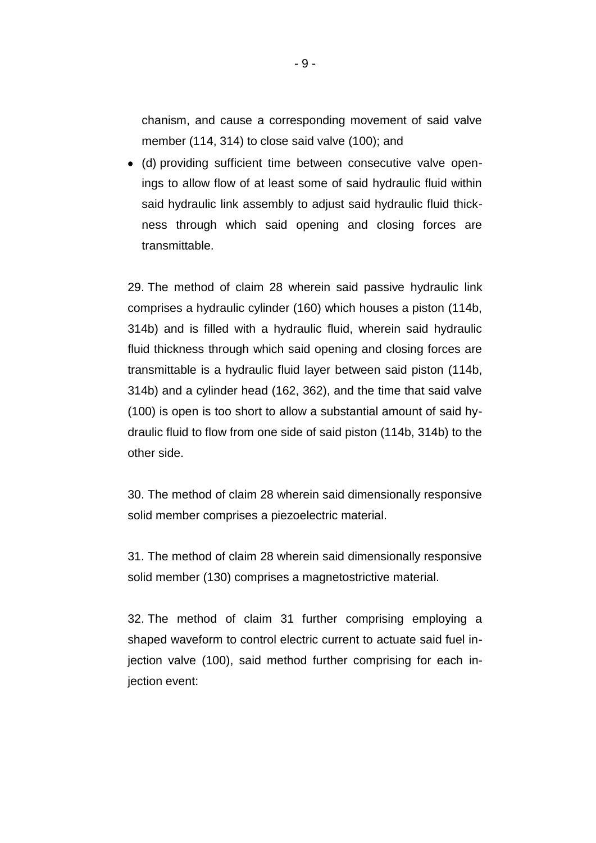chanism, and cause a corresponding movement of said valve member (114, 314) to close said valve (100); and

(d) providing sufficient time between consecutive valve openings to allow flow of at least some of said hydraulic fluid within said hydraulic link assembly to adjust said hydraulic fluid thickness through which said opening and closing forces are transmittable.

29. The method of claim 28 wherein said passive hydraulic link comprises a hydraulic cylinder (160) which houses a piston (114b, 314b) and is filled with a hydraulic fluid, wherein said hydraulic fluid thickness through which said opening and closing forces are transmittable is a hydraulic fluid layer between said piston (114b, 314b) and a cylinder head (162, 362), and the time that said valve (100) is open is too short to allow a substantial amount of said hydraulic fluid to flow from one side of said piston (114b, 314b) to the other side.

30. The method of claim 28 wherein said dimensionally responsive solid member comprises a piezoelectric material.

31. The method of claim 28 wherein said dimensionally responsive solid member (130) comprises a magnetostrictive material.

32. The method of claim 31 further comprising employing a shaped waveform to control electric current to actuate said fuel injection valve (100), said method further comprising for each injection event: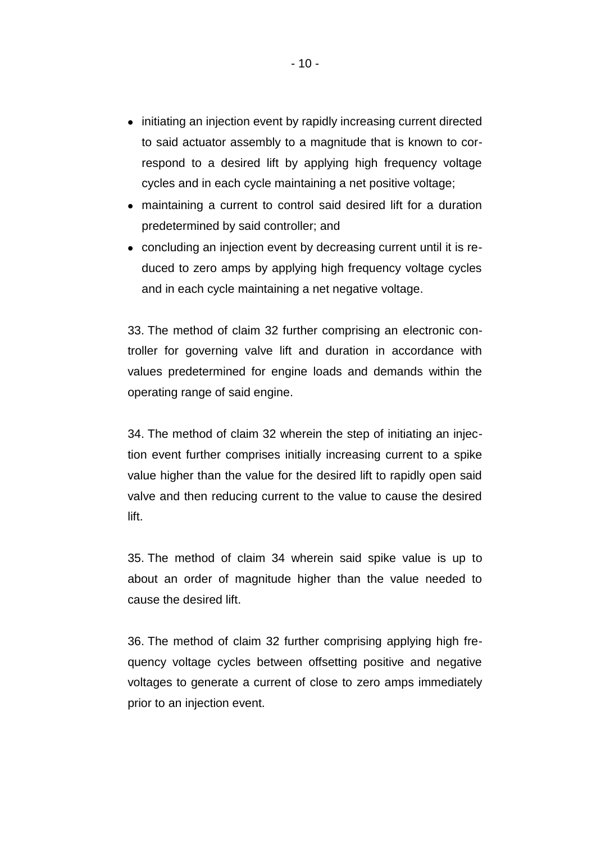- initiating an injection event by rapidly increasing current directed to said actuator assembly to a magnitude that is known to correspond to a desired lift by applying high frequency voltage cycles and in each cycle maintaining a net positive voltage;
- maintaining a current to control said desired lift for a duration predetermined by said controller; and
- concluding an injection event by decreasing current until it is reduced to zero amps by applying high frequency voltage cycles and in each cycle maintaining a net negative voltage.

33. The method of claim 32 further comprising an electronic controller for governing valve lift and duration in accordance with values predetermined for engine loads and demands within the operating range of said engine.

34. The method of claim 32 wherein the step of initiating an injection event further comprises initially increasing current to a spike value higher than the value for the desired lift to rapidly open said valve and then reducing current to the value to cause the desired lift.

35. The method of claim 34 wherein said spike value is up to about an order of magnitude higher than the value needed to cause the desired lift.

36. The method of claim 32 further comprising applying high frequency voltage cycles between offsetting positive and negative voltages to generate a current of close to zero amps immediately prior to an injection event.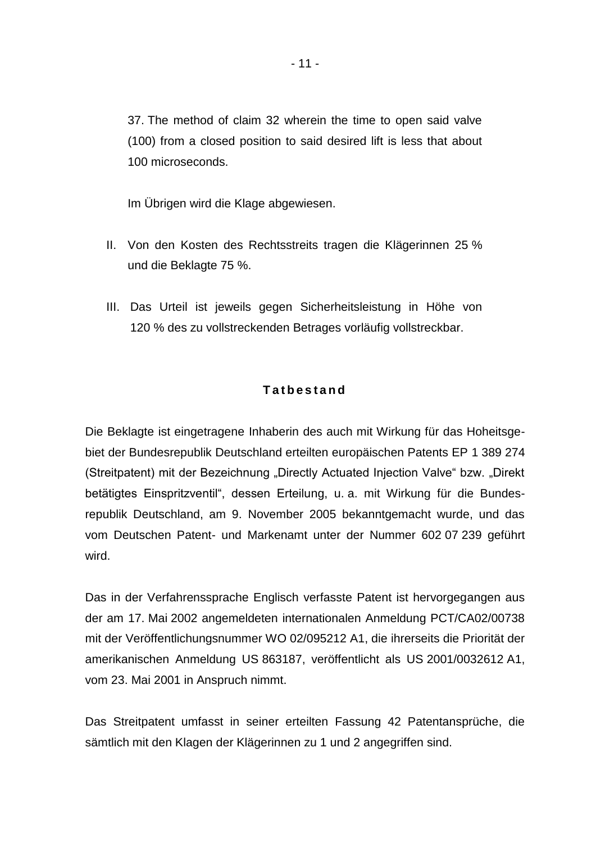37. The method of claim 32 wherein the time to open said valve (100) from a closed position to said desired lift is less that about 100 microseconds.

Im Übrigen wird die Klage abgewiesen.

- II. Von den Kosten des Rechtsstreits tragen die Klägerinnen 25 % und die Beklagte 75 %.
- III. Das Urteil ist jeweils gegen Sicherheitsleistung in Höhe von 120 % des zu vollstreckenden Betrages vorläufig vollstreckbar.

## **T a t b e s t a n d**

Die Beklagte ist eingetragene Inhaberin des auch mit Wirkung für das Hoheitsgebiet der Bundesrepublik Deutschland erteilten europäischen Patents EP 1 389 274 (Streitpatent) mit der Bezeichnung "Directly Actuated Injection Valve" bzw. "Direkt betätigtes Einspritzventil", dessen Erteilung, u. a. mit Wirkung für die Bundesrepublik Deutschland, am 9. November 2005 bekanntgemacht wurde, und das vom Deutschen Patent- und Markenamt unter der Nummer 602 07 239 geführt wird.

Das in der Verfahrenssprache Englisch verfasste Patent ist hervorgegangen aus der am 17. Mai 2002 angemeldeten internationalen Anmeldung PCT/CA02/00738 mit der Veröffentlichungsnummer WO 02/095212 A1, die ihrerseits die Priorität der amerikanischen Anmeldung US 863187, veröffentlicht als US 2001/0032612 A1, vom 23. Mai 2001 in Anspruch nimmt.

Das Streitpatent umfasst in seiner erteilten Fassung 42 Patentansprüche, die sämtlich mit den Klagen der Klägerinnen zu 1 und 2 angegriffen sind.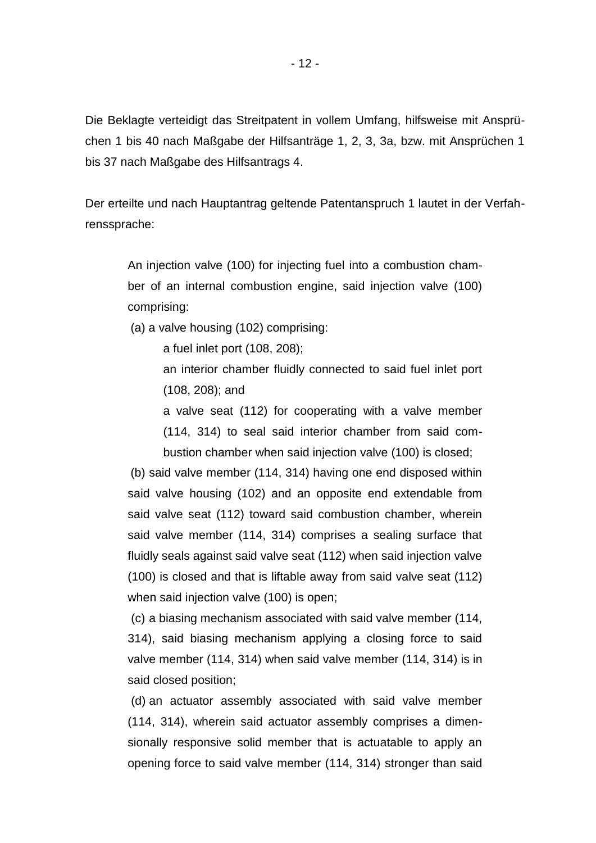Die Beklagte verteidigt das Streitpatent in vollem Umfang, hilfsweise mit Ansprüchen 1 bis 40 nach Maßgabe der Hilfsanträge 1, 2, 3, 3a, bzw. mit Ansprüchen 1 bis 37 nach Maßgabe des Hilfsantrags 4.

Der erteilte und nach Hauptantrag geltende Patentanspruch 1 lautet in der Verfahrenssprache:

An injection valve (100) for injecting fuel into a combustion chamber of an internal combustion engine, said injection valve (100) comprising:

(a) a valve housing (102) comprising:

a fuel inlet port (108, 208);

an interior chamber fluidly connected to said fuel inlet port (108, 208); and

a valve seat (112) for cooperating with a valve member (114, 314) to seal said interior chamber from said combustion chamber when said injection valve (100) is closed;

(b) said valve member (114, 314) having one end disposed within said valve housing (102) and an opposite end extendable from said valve seat (112) toward said combustion chamber, wherein said valve member (114, 314) comprises a sealing surface that fluidly seals against said valve seat (112) when said injection valve (100) is closed and that is liftable away from said valve seat (112) when said injection valve (100) is open;

(c) a biasing mechanism associated with said valve member (114, 314), said biasing mechanism applying a closing force to said valve member (114, 314) when said valve member (114, 314) is in said closed position;

(d) an actuator assembly associated with said valve member (114, 314), wherein said actuator assembly comprises a dimensionally responsive solid member that is actuatable to apply an opening force to said valve member (114, 314) stronger than said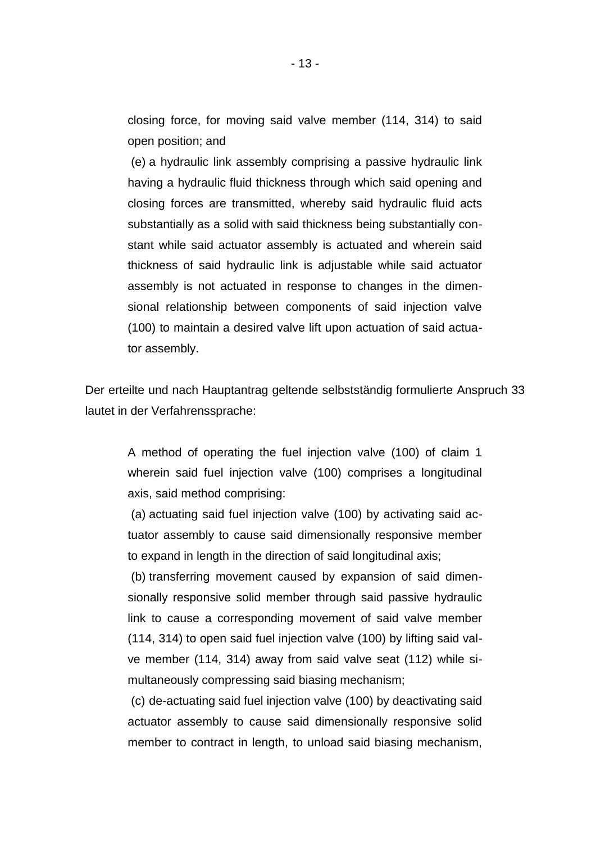closing force, for moving said valve member (114, 314) to said open position; and

(e) a hydraulic link assembly comprising a passive hydraulic link having a hydraulic fluid thickness through which said opening and closing forces are transmitted, whereby said hydraulic fluid acts substantially as a solid with said thickness being substantially constant while said actuator assembly is actuated and wherein said thickness of said hydraulic link is adjustable while said actuator assembly is not actuated in response to changes in the dimensional relationship between components of said injection valve (100) to maintain a desired valve lift upon actuation of said actuator assembly.

Der erteilte und nach Hauptantrag geltende selbstständig formulierte Anspruch 33 lautet in der Verfahrenssprache:

A method of operating the fuel injection valve (100) of claim 1 wherein said fuel injection valve (100) comprises a longitudinal axis, said method comprising:

(a) actuating said fuel injection valve (100) by activating said actuator assembly to cause said dimensionally responsive member to expand in length in the direction of said longitudinal axis;

(b) transferring movement caused by expansion of said dimensionally responsive solid member through said passive hydraulic link to cause a corresponding movement of said valve member (114, 314) to open said fuel injection valve (100) by lifting said valve member (114, 314) away from said valve seat (112) while simultaneously compressing said biasing mechanism;

(c) de-actuating said fuel injection valve (100) by deactivating said actuator assembly to cause said dimensionally responsive solid member to contract in length, to unload said biasing mechanism,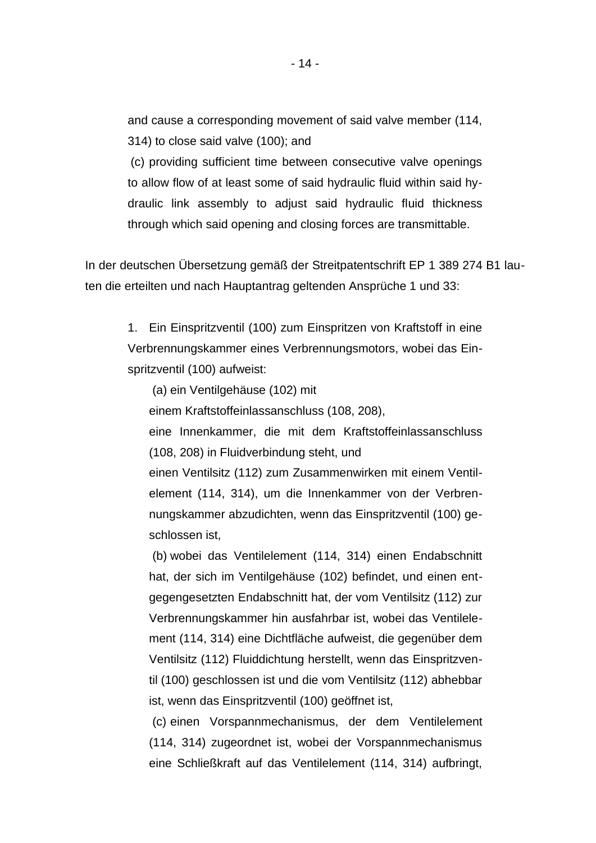and cause a corresponding movement of said valve member (114, 314) to close said valve (100); and

(c) providing sufficient time between consecutive valve openings to allow flow of at least some of said hydraulic fluid within said hydraulic link assembly to adjust said hydraulic fluid thickness through which said opening and closing forces are transmittable.

In der deutschen Übersetzung gemäß der Streitpatentschrift EP 1 389 274 B1 lauten die erteilten und nach Hauptantrag geltenden Ansprüche 1 und 33:

1. Ein Einspritzventil (100) zum Einspritzen von Kraftstoff in eine Verbrennungskammer eines Verbrennungsmotors, wobei das Einspritzventil (100) aufweist:

(a) ein Ventilgehäuse (102) mit

einem Kraftstoffeinlassanschluss (108, 208),

eine Innenkammer, die mit dem Kraftstoffeinlassanschluss (108, 208) in Fluidverbindung steht, und

einen Ventilsitz (112) zum Zusammenwirken mit einem Ventilelement (114, 314), um die Innenkammer von der Verbrennungskammer abzudichten, wenn das Einspritzventil (100) geschlossen ist,

(b) wobei das Ventilelement (114, 314) einen Endabschnitt hat, der sich im Ventilgehäuse (102) befindet, und einen entgegengesetzten Endabschnitt hat, der vom Ventilsitz (112) zur Verbrennungskammer hin ausfahrbar ist, wobei das Ventilelement (114, 314) eine Dichtfläche aufweist, die gegenüber dem Ventilsitz (112) Fluiddichtung herstellt, wenn das Einspritzventil (100) geschlossen ist und die vom Ventilsitz (112) abhebbar ist, wenn das Einspritzventil (100) geöffnet ist,

(c) einen Vorspannmechanismus, der dem Ventilelement (114, 314) zugeordnet ist, wobei der Vorspannmechanismus eine Schließkraft auf das Ventilelement (114, 314) aufbringt,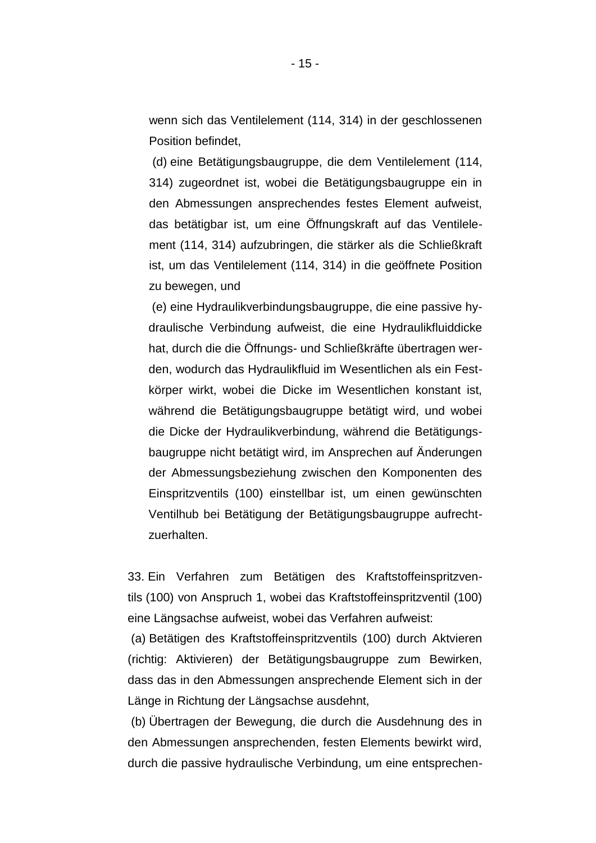wenn sich das Ventilelement (114, 314) in der geschlossenen Position befindet,

(d) eine Betätigungsbaugruppe, die dem Ventilelement (114, 314) zugeordnet ist, wobei die Betätigungsbaugruppe ein in den Abmessungen ansprechendes festes Element aufweist, das betätigbar ist, um eine Öffnungskraft auf das Ventilelement (114, 314) aufzubringen, die stärker als die Schließkraft ist, um das Ventilelement (114, 314) in die geöffnete Position zu bewegen, und

(e) eine Hydraulikverbindungsbaugruppe, die eine passive hydraulische Verbindung aufweist, die eine Hydraulikfluiddicke hat, durch die die Öffnungs- und Schließkräfte übertragen werden, wodurch das Hydraulikfluid im Wesentlichen als ein Festkörper wirkt, wobei die Dicke im Wesentlichen konstant ist, während die Betätigungsbaugruppe betätigt wird, und wobei die Dicke der Hydraulikverbindung, während die Betätigungsbaugruppe nicht betätigt wird, im Ansprechen auf Änderungen der Abmessungsbeziehung zwischen den Komponenten des Einspritzventils (100) einstellbar ist, um einen gewünschten Ventilhub bei Betätigung der Betätigungsbaugruppe aufrechtzuerhalten.

33. Ein Verfahren zum Betätigen des Kraftstoffeinspritzventils (100) von Anspruch 1, wobei das Kraftstoffeinspritzventil (100) eine Längsachse aufweist, wobei das Verfahren aufweist:

(a) Betätigen des Kraftstoffeinspritzventils (100) durch Aktvieren (richtig: Aktivieren) der Betätigungsbaugruppe zum Bewirken, dass das in den Abmessungen ansprechende Element sich in der Länge in Richtung der Längsachse ausdehnt,

(b) Übertragen der Bewegung, die durch die Ausdehnung des in den Abmessungen ansprechenden, festen Elements bewirkt wird, durch die passive hydraulische Verbindung, um eine entsprechen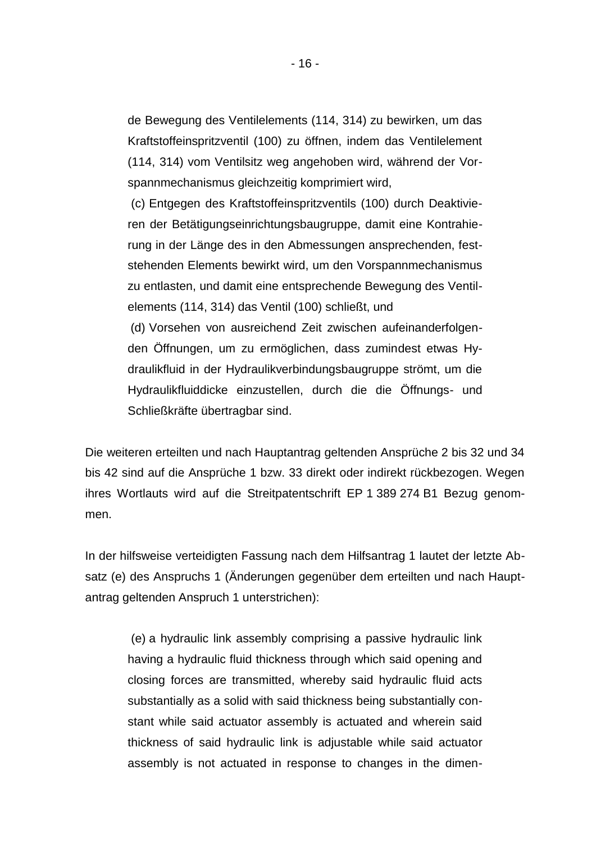de Bewegung des Ventilelements (114, 314) zu bewirken, um das Kraftstoffeinspritzventil (100) zu öffnen, indem das Ventilelement (114, 314) vom Ventilsitz weg angehoben wird, während der Vorspannmechanismus gleichzeitig komprimiert wird,

(c) Entgegen des Kraftstoffeinspritzventils (100) durch Deaktivieren der Betätigungseinrichtungsbaugruppe, damit eine Kontrahierung in der Länge des in den Abmessungen ansprechenden, feststehenden Elements bewirkt wird, um den Vorspannmechanismus zu entlasten, und damit eine entsprechende Bewegung des Ventilelements (114, 314) das Ventil (100) schließt, und

(d) Vorsehen von ausreichend Zeit zwischen aufeinanderfolgenden Öffnungen, um zu ermöglichen, dass zumindest etwas Hydraulikfluid in der Hydraulikverbindungsbaugruppe strömt, um die Hydraulikfluiddicke einzustellen, durch die die Öffnungs- und Schließkräfte übertragbar sind.

Die weiteren erteilten und nach Hauptantrag geltenden Ansprüche 2 bis 32 und 34 bis 42 sind auf die Ansprüche 1 bzw. 33 direkt oder indirekt rückbezogen. Wegen ihres Wortlauts wird auf die Streitpatentschrift EP 1 389 274 B1 Bezug genommen.

In der hilfsweise verteidigten Fassung nach dem Hilfsantrag 1 lautet der letzte Absatz (e) des Anspruchs 1 (Änderungen gegenüber dem erteilten und nach Hauptantrag geltenden Anspruch 1 unterstrichen):

(e) a hydraulic link assembly comprising a passive hydraulic link having a hydraulic fluid thickness through which said opening and closing forces are transmitted, whereby said hydraulic fluid acts substantially as a solid with said thickness being substantially constant while said actuator assembly is actuated and wherein said thickness of said hydraulic link is adjustable while said actuator assembly is not actuated in response to changes in the dimen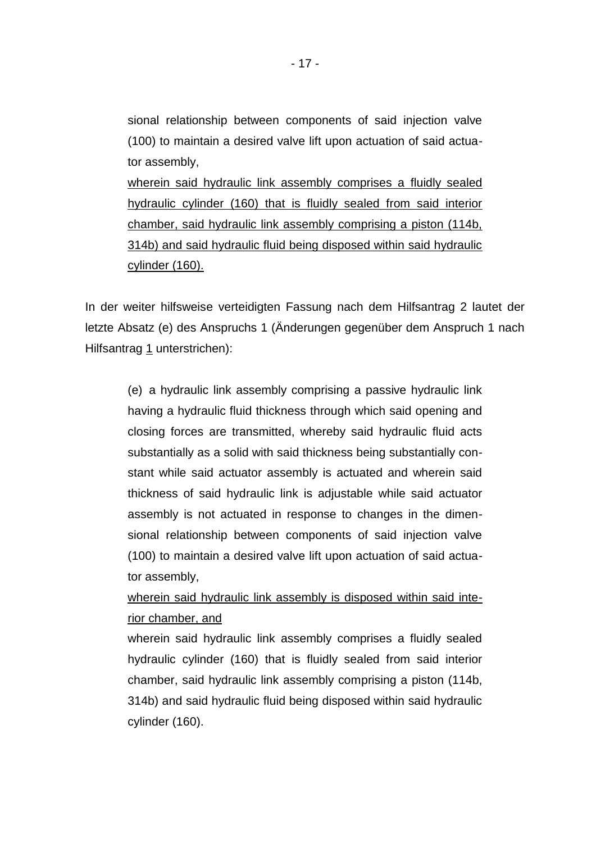sional relationship between components of said injection valve (100) to maintain a desired valve lift upon actuation of said actuator assembly, wherein said hydraulic link assembly comprises a fluidly sealed hydraulic cylinder (160) that is fluidly sealed from said interior chamber, said hydraulic link assembly comprising a piston (114b, 314b) and said hydraulic fluid being disposed within said hydraulic cylinder (160).

In der weiter hilfsweise verteidigten Fassung nach dem Hilfsantrag 2 lautet der letzte Absatz (e) des Anspruchs 1 (Änderungen gegenüber dem Anspruch 1 nach Hilfsantrag 1 unterstrichen):

(e) a hydraulic link assembly comprising a passive hydraulic link having a hydraulic fluid thickness through which said opening and closing forces are transmitted, whereby said hydraulic fluid acts substantially as a solid with said thickness being substantially constant while said actuator assembly is actuated and wherein said thickness of said hydraulic link is adjustable while said actuator assembly is not actuated in response to changes in the dimensional relationship between components of said injection valve (100) to maintain a desired valve lift upon actuation of said actuator assembly,

wherein said hydraulic link assembly is disposed within said interior chamber, and

wherein said hydraulic link assembly comprises a fluidly sealed hydraulic cylinder (160) that is fluidly sealed from said interior chamber, said hydraulic link assembly comprising a piston (114b, 314b) and said hydraulic fluid being disposed within said hydraulic cylinder (160).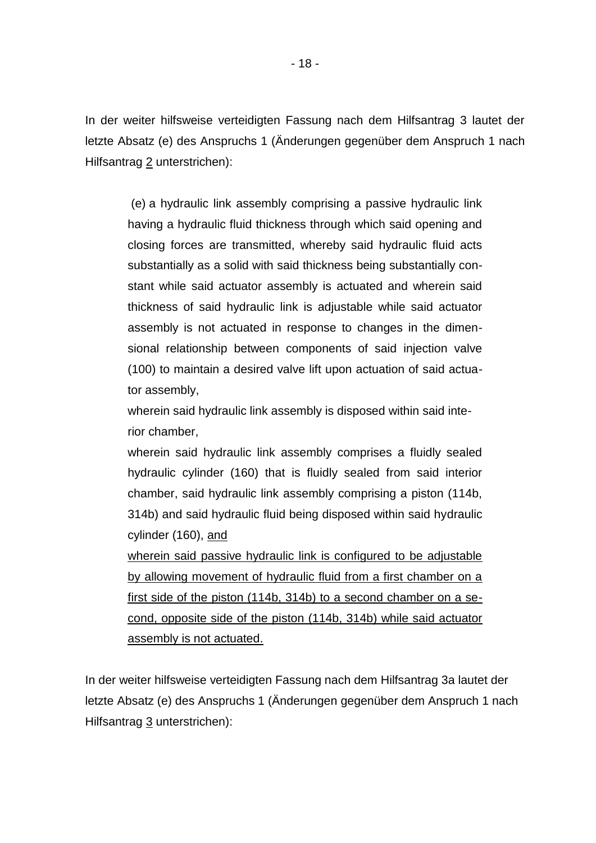In der weiter hilfsweise verteidigten Fassung nach dem Hilfsantrag 3 lautet der letzte Absatz (e) des Anspruchs 1 (Änderungen gegenüber dem Anspruch 1 nach Hilfsantrag 2 unterstrichen):

(e) a hydraulic link assembly comprising a passive hydraulic link having a hydraulic fluid thickness through which said opening and closing forces are transmitted, whereby said hydraulic fluid acts substantially as a solid with said thickness being substantially constant while said actuator assembly is actuated and wherein said thickness of said hydraulic link is adjustable while said actuator assembly is not actuated in response to changes in the dimensional relationship between components of said injection valve (100) to maintain a desired valve lift upon actuation of said actuator assembly,

wherein said hydraulic link assembly is disposed within said interior chamber,

wherein said hydraulic link assembly comprises a fluidly sealed hydraulic cylinder (160) that is fluidly sealed from said interior chamber, said hydraulic link assembly comprising a piston (114b, 314b) and said hydraulic fluid being disposed within said hydraulic cylinder (160), and

wherein said passive hydraulic link is configured to be adjustable by allowing movement of hydraulic fluid from a first chamber on a first side of the piston (114b, 314b) to a second chamber on a second, opposite side of the piston (114b, 314b) while said actuator assembly is not actuated.

In der weiter hilfsweise verteidigten Fassung nach dem Hilfsantrag 3a lautet der letzte Absatz (e) des Anspruchs 1 (Änderungen gegenüber dem Anspruch 1 nach Hilfsantrag 3 unterstrichen):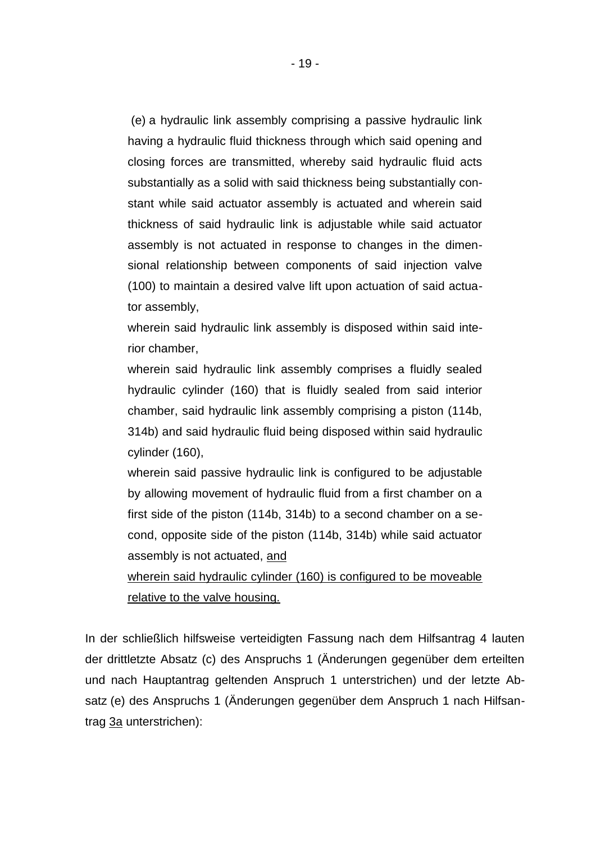(e) a hydraulic link assembly comprising a passive hydraulic link having a hydraulic fluid thickness through which said opening and closing forces are transmitted, whereby said hydraulic fluid acts substantially as a solid with said thickness being substantially constant while said actuator assembly is actuated and wherein said thickness of said hydraulic link is adjustable while said actuator assembly is not actuated in response to changes in the dimensional relationship between components of said injection valve (100) to maintain a desired valve lift upon actuation of said actuator assembly,

wherein said hydraulic link assembly is disposed within said interior chamber,

wherein said hydraulic link assembly comprises a fluidly sealed hydraulic cylinder (160) that is fluidly sealed from said interior chamber, said hydraulic link assembly comprising a piston (114b, 314b) and said hydraulic fluid being disposed within said hydraulic cylinder (160),

wherein said passive hydraulic link is configured to be adjustable by allowing movement of hydraulic fluid from a first chamber on a first side of the piston (114b, 314b) to a second chamber on a second, opposite side of the piston (114b, 314b) while said actuator assembly is not actuated, and

wherein said hydraulic cylinder (160) is configured to be moveable relative to the valve housing.

In der schließlich hilfsweise verteidigten Fassung nach dem Hilfsantrag 4 lauten der drittletzte Absatz (c) des Anspruchs 1 (Änderungen gegenüber dem erteilten und nach Hauptantrag geltenden Anspruch 1 unterstrichen) und der letzte Absatz (e) des Anspruchs 1 (Änderungen gegenüber dem Anspruch 1 nach Hilfsantrag 3a unterstrichen):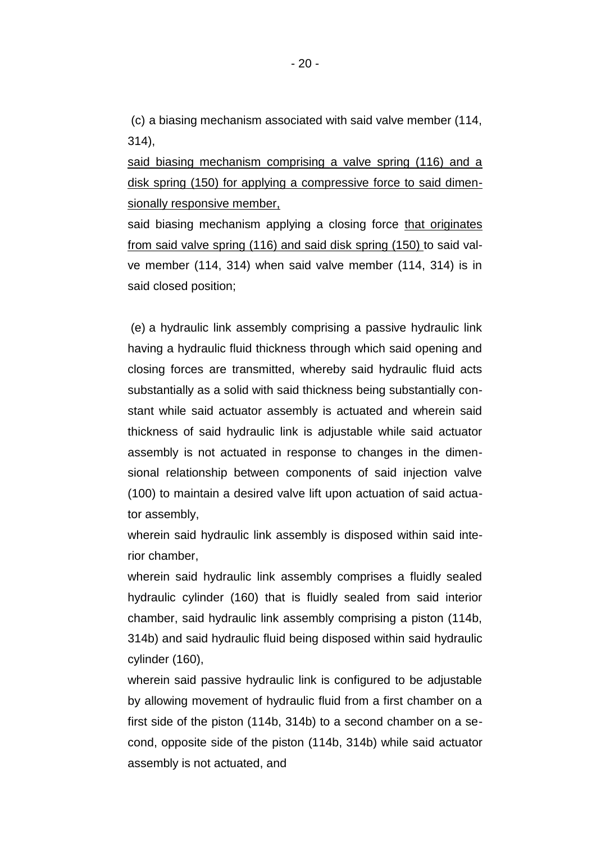(c) a biasing mechanism associated with said valve member (114, 314),

said biasing mechanism comprising a valve spring (116) and a disk spring (150) for applying a compressive force to said dimensionally responsive member,

said biasing mechanism applying a closing force that originates from said valve spring (116) and said disk spring (150) to said valve member (114, 314) when said valve member (114, 314) is in said closed position;

(e) a hydraulic link assembly comprising a passive hydraulic link having a hydraulic fluid thickness through which said opening and closing forces are transmitted, whereby said hydraulic fluid acts substantially as a solid with said thickness being substantially constant while said actuator assembly is actuated and wherein said thickness of said hydraulic link is adjustable while said actuator assembly is not actuated in response to changes in the dimensional relationship between components of said injection valve (100) to maintain a desired valve lift upon actuation of said actuator assembly,

wherein said hydraulic link assembly is disposed within said interior chamber,

wherein said hydraulic link assembly comprises a fluidly sealed hydraulic cylinder (160) that is fluidly sealed from said interior chamber, said hydraulic link assembly comprising a piston (114b, 314b) and said hydraulic fluid being disposed within said hydraulic cylinder (160),

wherein said passive hydraulic link is configured to be adjustable by allowing movement of hydraulic fluid from a first chamber on a first side of the piston (114b, 314b) to a second chamber on a second, opposite side of the piston (114b, 314b) while said actuator assembly is not actuated, and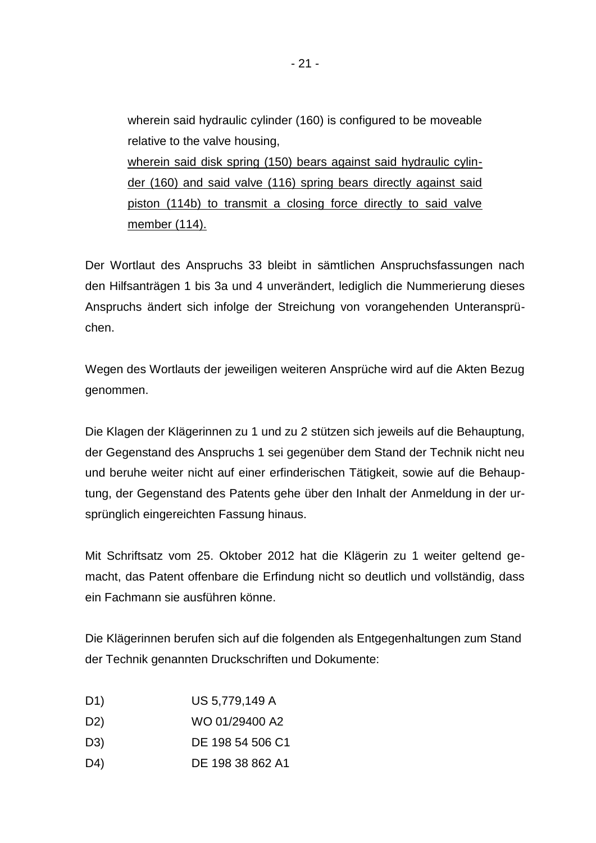wherein said hydraulic cylinder (160) is configured to be moveable relative to the valve housing, wherein said disk spring (150) bears against said hydraulic cylinder (160) and said valve (116) spring bears directly against said piston (114b) to transmit a closing force directly to said valve member (114).

Der Wortlaut des Anspruchs 33 bleibt in sämtlichen Anspruchsfassungen nach den Hilfsanträgen 1 bis 3a und 4 unverändert, lediglich die Nummerierung dieses Anspruchs ändert sich infolge der Streichung von vorangehenden Unteransprüchen.

Wegen des Wortlauts der jeweiligen weiteren Ansprüche wird auf die Akten Bezug genommen.

Die Klagen der Klägerinnen zu 1 und zu 2 stützen sich jeweils auf die Behauptung, der Gegenstand des Anspruchs 1 sei gegenüber dem Stand der Technik nicht neu und beruhe weiter nicht auf einer erfinderischen Tätigkeit, sowie auf die Behauptung, der Gegenstand des Patents gehe über den Inhalt der Anmeldung in der ursprünglich eingereichten Fassung hinaus.

Mit Schriftsatz vom 25. Oktober 2012 hat die Klägerin zu 1 weiter geltend gemacht, das Patent offenbare die Erfindung nicht so deutlich und vollständig, dass ein Fachmann sie ausführen könne.

Die Klägerinnen berufen sich auf die folgenden als Entgegenhaltungen zum Stand der Technik genannten Druckschriften und Dokumente:

- D1) US 5,779,149 A
- D2) WO 01/29400 A2
- D3) DE 198 54 506 C1
- D4) DE 198 38 862 A1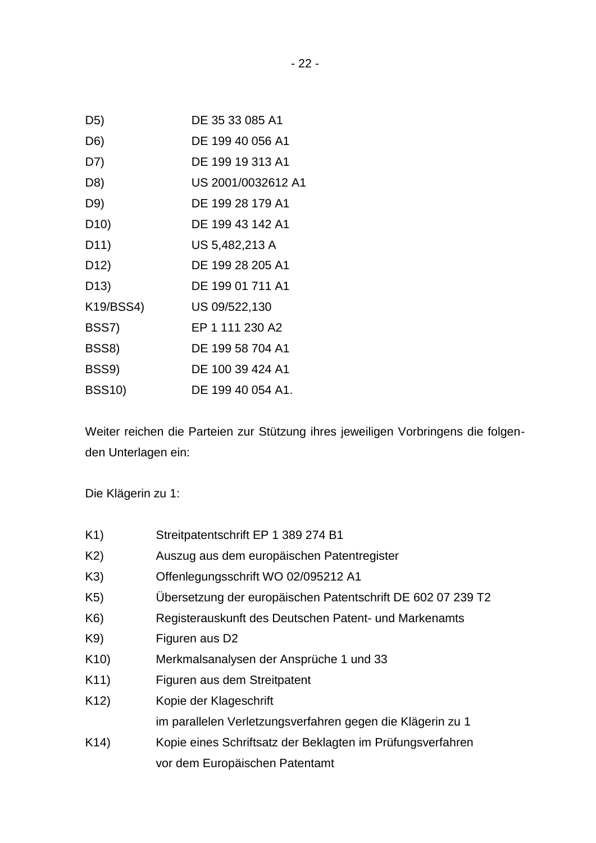| D <sub>5</sub> )  | DE 35 33 085 A1    |
|-------------------|--------------------|
| D6)               | DE 199 40 056 A1   |
| D7)               | DE 199 19 313 A1   |
| D8)               | US 2001/0032612 A1 |
| D9)               | DE 199 28 179 A1   |
| D <sub>10</sub> ) | DE 199 43 142 A1   |
| D <sub>11</sub> ) | US 5,482,213 A     |
| D <sub>12</sub> ) | DE 199 28 205 A1   |
| D <sub>13</sub> ) | DE 199 01 711 A1   |
| K19/BSS4)         | US 09/522,130      |
| BSS7)             | EP 1 111 230 A2    |
| BSS8)             | DE 199 58 704 A1   |
| BSS9)             | DE 100 39 424 A1   |
| <b>BSS10)</b>     | DE 199 40 054 A1.  |

Weiter reichen die Parteien zur Stützung ihres jeweiligen Vorbringens die folgenden Unterlagen ein:

Die Klägerin zu 1:

| K1)             | Streitpatentschrift EP 1 389 274 B1                         |
|-----------------|-------------------------------------------------------------|
| K2)             | Auszug aus dem europäischen Patentregister                  |
| K3)             | Offenlegungsschrift WO 02/095212 A1                         |
| K5)             | Ubersetzung der europäischen Patentschrift DE 602 07 239 T2 |
| K6)             | Registerauskunft des Deutschen Patent- und Markenamts       |
| K9)             | Figuren aus D2                                              |
| K10)            | Merkmalsanalysen der Ansprüche 1 und 33                     |
| K <sub>11</sub> | Figuren aus dem Streitpatent                                |
| K <sub>12</sub> | Kopie der Klageschrift                                      |
|                 | im parallelen Verletzungsverfahren gegen die Klägerin zu 1  |
| K <sub>14</sub> | Kopie eines Schriftsatz der Beklagten im Prüfungsverfahren  |
|                 | vor dem Europäischen Patentamt                              |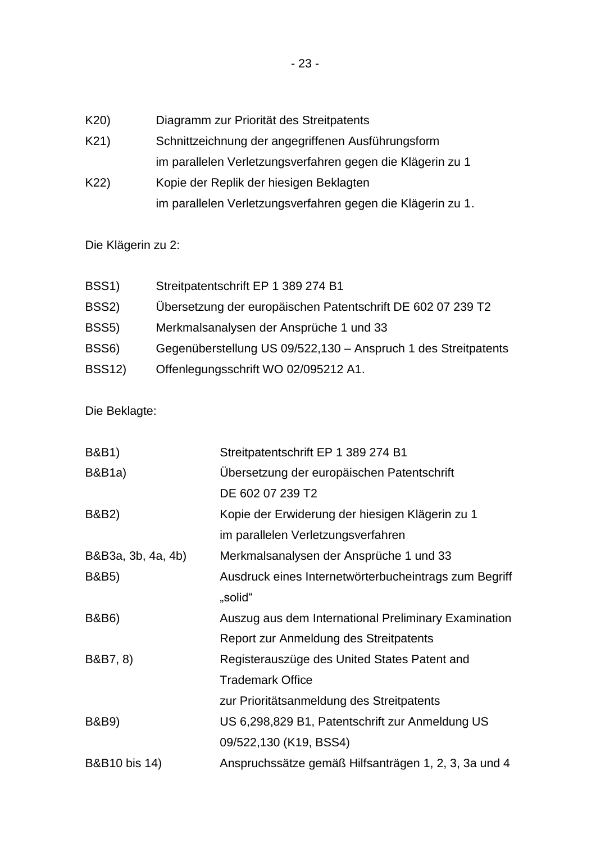K20) Diagramm zur Priorität des Streitpatents

K21) Schnittzeichnung der angegriffenen Ausführungsform im parallelen Verletzungsverfahren gegen die Klägerin zu 1

K22) Kopie der Replik der hiesigen Beklagten im parallelen Verletzungsverfahren gegen die Klägerin zu 1.

Die Klägerin zu 2:

| BSS <sub>1</sub> ) | Streitpatentschrift EP 1 389 274 B1                            |
|--------------------|----------------------------------------------------------------|
| BSS <sub>2</sub> ) | Übersetzung der europäischen Patentschrift DE 602 07 239 T2    |
| BSS <sub>5</sub> ) | Merkmalsanalysen der Ansprüche 1 und 33                        |
| BSS <sub>6</sub> ) | Gegenüberstellung US 09/522,130 - Anspruch 1 des Streitpatents |
| <b>BSS12)</b>      | Offenlegungsschrift WO 02/095212 A1.                           |

Die Beklagte:

| <b>B&amp;B1)</b>         | Streitpatentschrift EP 1 389 274 B1                   |
|--------------------------|-------------------------------------------------------|
| <b>B&amp;B1a)</b>        | Übersetzung der europäischen Patentschrift            |
|                          | DE 602 07 239 T2                                      |
| B&B2)                    | Kopie der Erwiderung der hiesigen Klägerin zu 1       |
|                          | im parallelen Verletzungsverfahren                    |
| B&B3a, 3b, 4a, 4b)       | Merkmalsanalysen der Ansprüche 1 und 33               |
| <b>B&amp;B5)</b>         | Ausdruck eines Internetwörterbucheintrags zum Begriff |
|                          | "solid"                                               |
| <b>B&amp;B6)</b>         | Auszug aus dem International Preliminary Examination  |
|                          | Report zur Anmeldung des Streitpatents                |
| B&B7, 8)                 | Registerauszüge des United States Patent and          |
|                          | <b>Trademark Office</b>                               |
|                          | zur Prioritätsanmeldung des Streitpatents             |
| <b>B&amp;B9)</b>         | US 6,298,829 B1, Patentschrift zur Anmeldung US       |
|                          | 09/522,130 (K19, BSS4)                                |
| <b>B&amp;B10</b> bis 14) | Anspruchssätze gemäß Hilfsanträgen 1, 2, 3, 3a und 4  |
|                          |                                                       |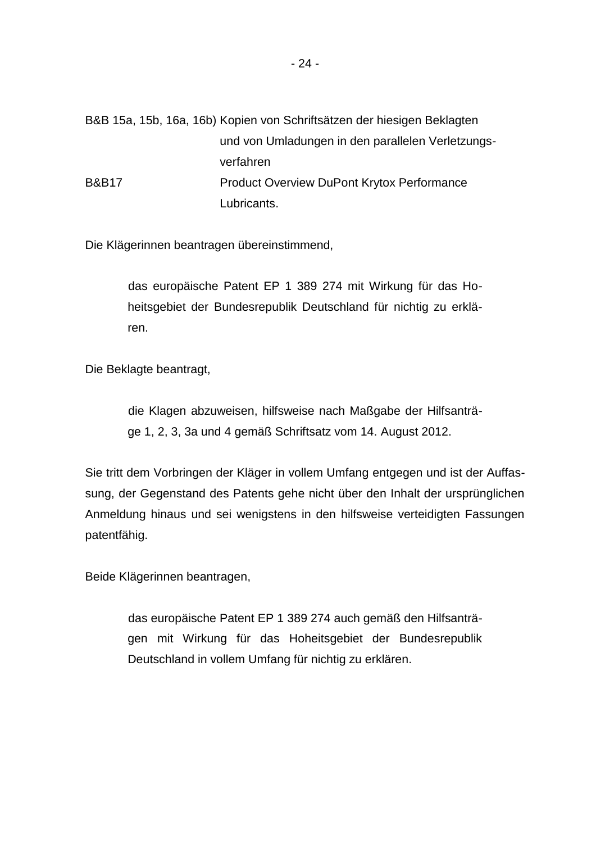B&B 15a, 15b, 16a, 16b) Kopien von Schriftsätzen der hiesigen Beklagten und von Umladungen in den parallelen Verletzungsverfahren B&B17 **Product Overview DuPont Krytox Performance** Lubricants.

Die Klägerinnen beantragen übereinstimmend,

das europäische Patent EP 1 389 274 mit Wirkung für das Hoheitsgebiet der Bundesrepublik Deutschland für nichtig zu erklären.

Die Beklagte beantragt,

die Klagen abzuweisen, hilfsweise nach Maßgabe der Hilfsanträge 1, 2, 3, 3a und 4 gemäß Schriftsatz vom 14. August 2012.

Sie tritt dem Vorbringen der Kläger in vollem Umfang entgegen und ist der Auffassung, der Gegenstand des Patents gehe nicht über den Inhalt der ursprünglichen Anmeldung hinaus und sei wenigstens in den hilfsweise verteidigten Fassungen patentfähig.

Beide Klägerinnen beantragen,

das europäische Patent EP 1 389 274 auch gemäß den Hilfsanträgen mit Wirkung für das Hoheitsgebiet der Bundesrepublik Deutschland in vollem Umfang für nichtig zu erklären.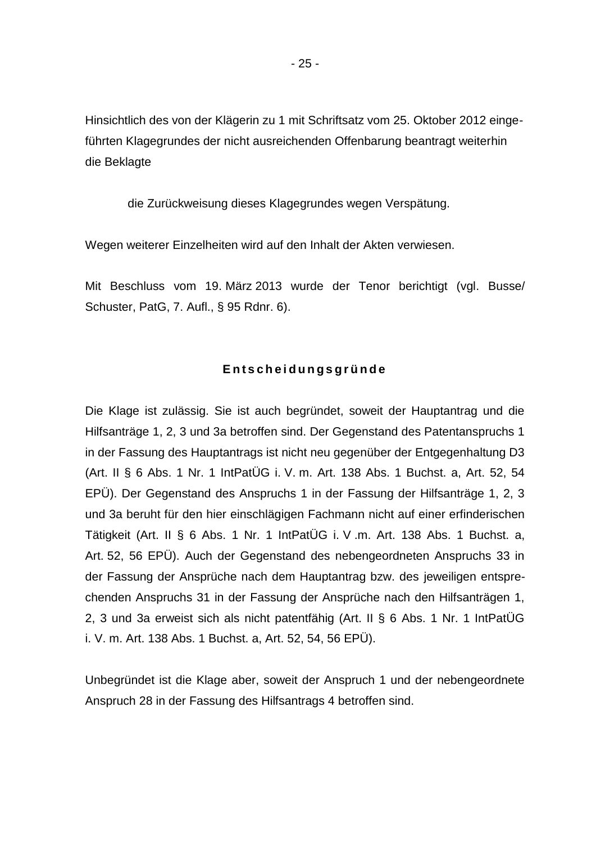Hinsichtlich des von der Klägerin zu 1 mit Schriftsatz vom 25. Oktober 2012 eingeführten Klagegrundes der nicht ausreichenden Offenbarung beantragt weiterhin die Beklagte

die Zurückweisung dieses Klagegrundes wegen Verspätung.

Wegen weiterer Einzelheiten wird auf den Inhalt der Akten verwiesen.

Mit Beschluss vom 19. März 2013 wurde der Tenor berichtigt (vgl. Busse/ Schuster, PatG, 7. Aufl., § 95 Rdnr. 6).

## **E n t s c h e i d u n g s g r ü n d e**

Die Klage ist zulässig. Sie ist auch begründet, soweit der Hauptantrag und die Hilfsanträge 1, 2, 3 und 3a betroffen sind. Der Gegenstand des Patentanspruchs 1 in der Fassung des Hauptantrags ist nicht neu gegenüber der Entgegenhaltung D3 (Art. II § 6 Abs. 1 Nr. 1 IntPatÜG i. V. m. Art. 138 Abs. 1 Buchst. a, Art. 52, 54 EPÜ). Der Gegenstand des Anspruchs 1 in der Fassung der Hilfsanträge 1, 2, 3 und 3a beruht für den hier einschlägigen Fachmann nicht auf einer erfinderischen Tätigkeit (Art. II § 6 Abs. 1 Nr. 1 IntPatÜG i. V .m. Art. 138 Abs. 1 Buchst. a, Art. 52, 56 EPÜ). Auch der Gegenstand des nebengeordneten Anspruchs 33 in der Fassung der Ansprüche nach dem Hauptantrag bzw. des jeweiligen entsprechenden Anspruchs 31 in der Fassung der Ansprüche nach den Hilfsanträgen 1, 2, 3 und 3a erweist sich als nicht patentfähig (Art. II § 6 Abs. 1 Nr. 1 IntPatÜG i. V. m. Art. 138 Abs. 1 Buchst. a, Art. 52, 54, 56 EPÜ).

Unbegründet ist die Klage aber, soweit der Anspruch 1 und der nebengeordnete Anspruch 28 in der Fassung des Hilfsantrags 4 betroffen sind.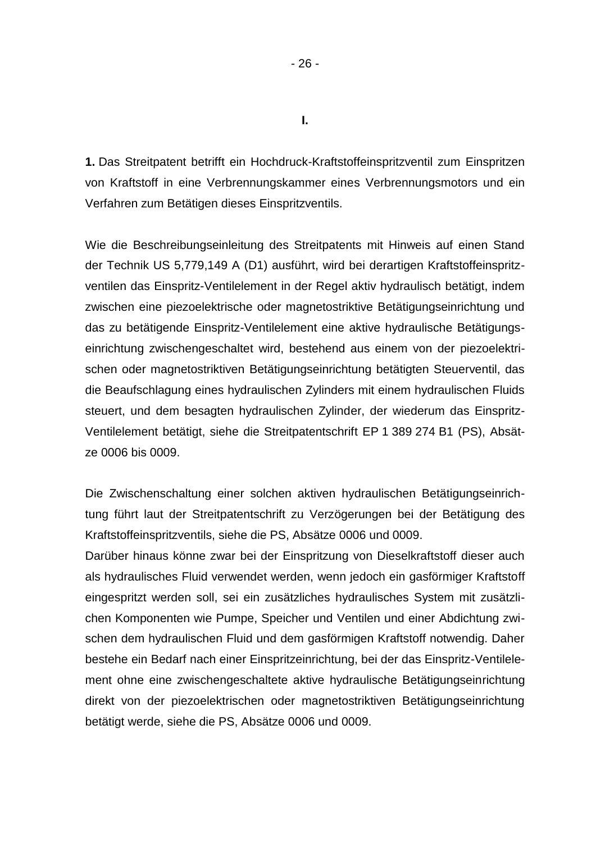**1.** Das Streitpatent betrifft ein Hochdruck-Kraftstoffeinspritzventil zum Einspritzen von Kraftstoff in eine Verbrennungskammer eines Verbrennungsmotors und ein Verfahren zum Betätigen dieses Einspritzventils.

Wie die Beschreibungseinleitung des Streitpatents mit Hinweis auf einen Stand der Technik US 5,779,149 A (D1) ausführt, wird bei derartigen Kraftstoffeinspritzventilen das Einspritz-Ventilelement in der Regel aktiv hydraulisch betätigt, indem zwischen eine piezoelektrische oder magnetostriktive Betätigungseinrichtung und das zu betätigende Einspritz-Ventilelement eine aktive hydraulische Betätigungseinrichtung zwischengeschaltet wird, bestehend aus einem von der piezoelektrischen oder magnetostriktiven Betätigungseinrichtung betätigten Steuerventil, das die Beaufschlagung eines hydraulischen Zylinders mit einem hydraulischen Fluids steuert, und dem besagten hydraulischen Zylinder, der wiederum das Einspritz-Ventilelement betätigt, siehe die Streitpatentschrift EP 1 389 274 B1 (PS), Absätze 0006 bis 0009.

Die Zwischenschaltung einer solchen aktiven hydraulischen Betätigungseinrichtung führt laut der Streitpatentschrift zu Verzögerungen bei der Betätigung des Kraftstoffeinspritzventils, siehe die PS, Absätze 0006 und 0009.

Darüber hinaus könne zwar bei der Einspritzung von Dieselkraftstoff dieser auch als hydraulisches Fluid verwendet werden, wenn jedoch ein gasförmiger Kraftstoff eingespritzt werden soll, sei ein zusätzliches hydraulisches System mit zusätzlichen Komponenten wie Pumpe, Speicher und Ventilen und einer Abdichtung zwischen dem hydraulischen Fluid und dem gasförmigen Kraftstoff notwendig. Daher bestehe ein Bedarf nach einer Einspritzeinrichtung, bei der das Einspritz-Ventilelement ohne eine zwischengeschaltete aktive hydraulische Betätigungseinrichtung direkt von der piezoelektrischen oder magnetostriktiven Betätigungseinrichtung betätigt werde, siehe die PS, Absätze 0006 und 0009.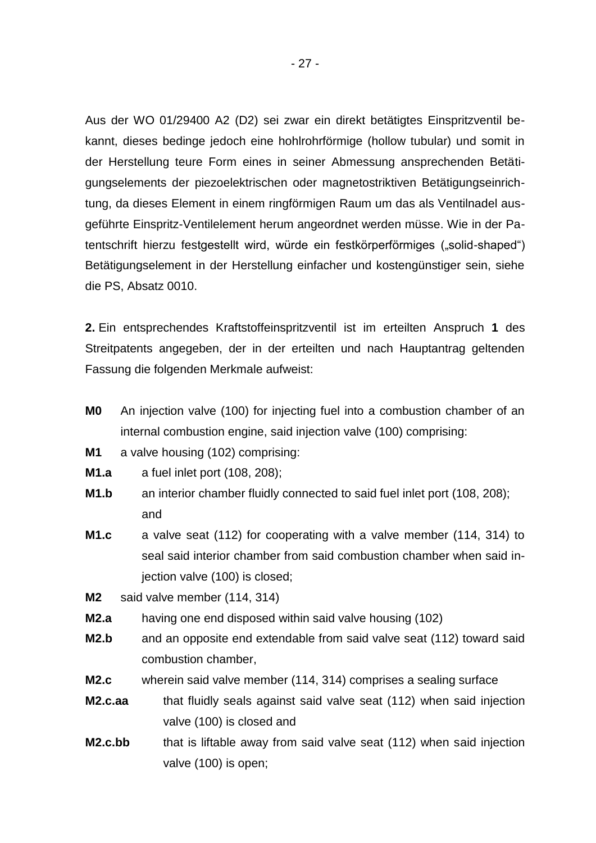Aus der WO 01/29400 A2 (D2) sei zwar ein direkt betätigtes Einspritzventil bekannt, dieses bedinge jedoch eine hohlrohrförmige (hollow tubular) und somit in der Herstellung teure Form eines in seiner Abmessung ansprechenden Betätigungselements der piezoelektrischen oder magnetostriktiven Betätigungseinrichtung, da dieses Element in einem ringförmigen Raum um das als Ventilnadel ausgeführte Einspritz-Ventilelement herum angeordnet werden müsse. Wie in der Patentschrift hierzu festgestellt wird, würde ein festkörperförmiges ("solid-shaped") Betätigungselement in der Herstellung einfacher und kostengünstiger sein, siehe die PS, Absatz 0010.

**2.** Ein entsprechendes Kraftstoffeinspritzventil ist im erteilten Anspruch **1** des Streitpatents angegeben, der in der erteilten und nach Hauptantrag geltenden Fassung die folgenden Merkmale aufweist:

- **M0** An injection valve (100) for injecting fuel into a combustion chamber of an internal combustion engine, said injection valve (100) comprising:
- **M1** a valve housing (102) comprising:
- **M1.a** a fuel inlet port (108, 208);
- **M1.b** an interior chamber fluidly connected to said fuel inlet port (108, 208); and
- **M1.c** a valve seat (112) for cooperating with a valve member (114, 314) to seal said interior chamber from said combustion chamber when said injection valve (100) is closed;

**M2** said valve member (114, 314)

- **M2.a** having one end disposed within said valve housing (102)
- **M2.b** and an opposite end extendable from said valve seat (112) toward said combustion chamber,
- **M2.c** wherein said valve member (114, 314) comprises a sealing surface
- **M2.c.aa** that fluidly seals against said valve seat (112) when said injection valve (100) is closed and
- **M2.c.bb** that is liftable away from said valve seat (112) when said injection valve (100) is open;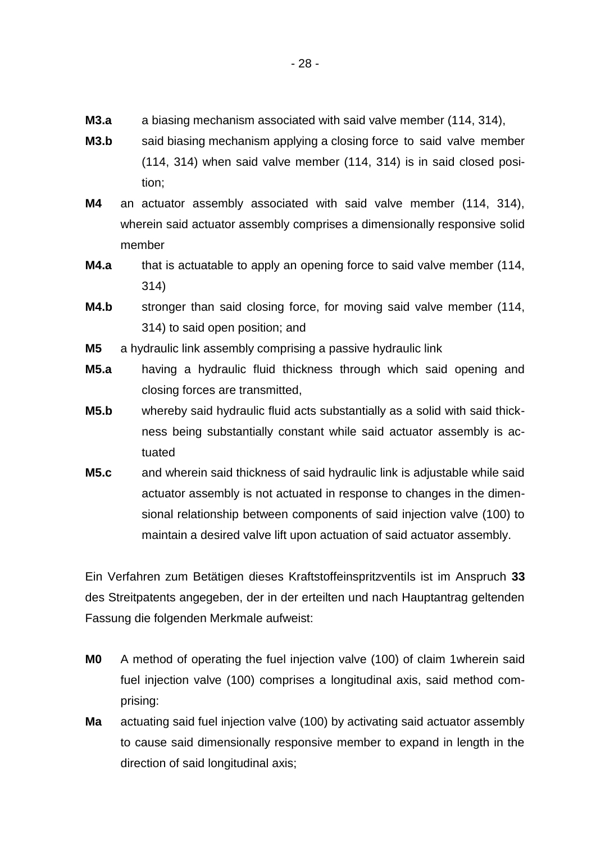- **M3.a** a biasing mechanism associated with said valve member (114, 314),
- **M3.b** said biasing mechanism applying a closing force to said valve member (114, 314) when said valve member (114, 314) is in said closed position;
- **M4** an actuator assembly associated with said valve member (114, 314), wherein said actuator assembly comprises a dimensionally responsive solid member
- **M4.a** that is actuatable to apply an opening force to said valve member (114, 314)
- **M4.b** stronger than said closing force, for moving said valve member (114, 314) to said open position; and
- **M5** a hydraulic link assembly comprising a passive hydraulic link
- **M5.a** having a hydraulic fluid thickness through which said opening and closing forces are transmitted,
- **M5.b** whereby said hydraulic fluid acts substantially as a solid with said thickness being substantially constant while said actuator assembly is actuated
- **M5.c** and wherein said thickness of said hydraulic link is adjustable while said actuator assembly is not actuated in response to changes in the dimensional relationship between components of said injection valve (100) to maintain a desired valve lift upon actuation of said actuator assembly.

Ein Verfahren zum Betätigen dieses Kraftstoffeinspritzventils ist im Anspruch **33** des Streitpatents angegeben, der in der erteilten und nach Hauptantrag geltenden Fassung die folgenden Merkmale aufweist:

- **M0** A method of operating the fuel injection valve (100) of claim 1wherein said fuel injection valve (100) comprises a longitudinal axis, said method comprising:
- **Ma** actuating said fuel injection valve (100) by activating said actuator assembly to cause said dimensionally responsive member to expand in length in the direction of said longitudinal axis;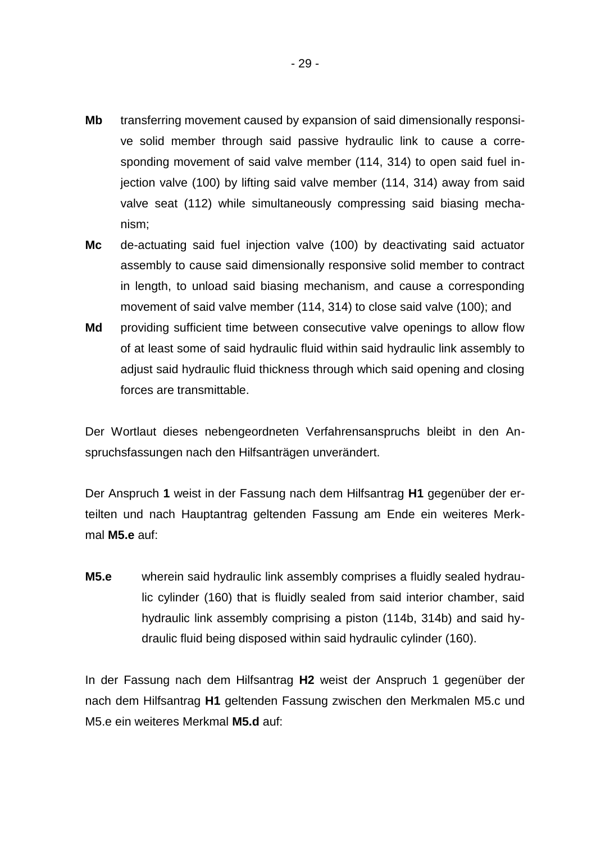- **Mb** transferring movement caused by expansion of said dimensionally responsive solid member through said passive hydraulic link to cause a corresponding movement of said valve member (114, 314) to open said fuel injection valve (100) by lifting said valve member (114, 314) away from said valve seat (112) while simultaneously compressing said biasing mechanism;
- **Mc** de-actuating said fuel injection valve (100) by deactivating said actuator assembly to cause said dimensionally responsive solid member to contract in length, to unload said biasing mechanism, and cause a corresponding movement of said valve member (114, 314) to close said valve (100); and
- **Md** providing sufficient time between consecutive valve openings to allow flow of at least some of said hydraulic fluid within said hydraulic link assembly to adjust said hydraulic fluid thickness through which said opening and closing forces are transmittable.

Der Wortlaut dieses nebengeordneten Verfahrensanspruchs bleibt in den Anspruchsfassungen nach den Hilfsanträgen unverändert.

Der Anspruch **1** weist in der Fassung nach dem Hilfsantrag **H1** gegenüber der erteilten und nach Hauptantrag geltenden Fassung am Ende ein weiteres Merkmal **M5.e** auf:

**M5.e** wherein said hydraulic link assembly comprises a fluidly sealed hydraulic cylinder (160) that is fluidly sealed from said interior chamber, said hydraulic link assembly comprising a piston (114b, 314b) and said hydraulic fluid being disposed within said hydraulic cylinder (160).

In der Fassung nach dem Hilfsantrag **H2** weist der Anspruch 1 gegenüber der nach dem Hilfsantrag **H1** geltenden Fassung zwischen den Merkmalen M5.c und M5.e ein weiteres Merkmal **M5.d** auf: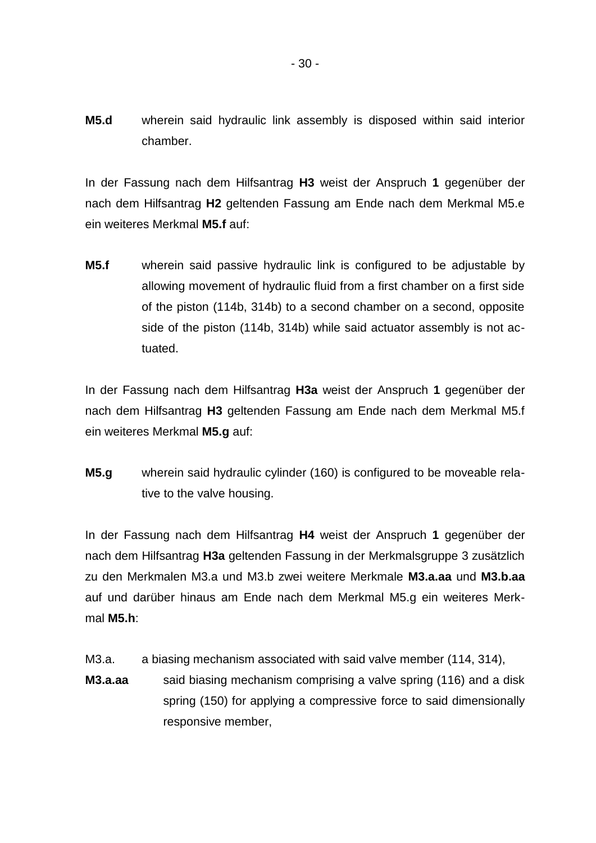**M5.d** wherein said hydraulic link assembly is disposed within said interior chamber.

In der Fassung nach dem Hilfsantrag **H3** weist der Anspruch **1** gegenüber der nach dem Hilfsantrag **H2** geltenden Fassung am Ende nach dem Merkmal M5.e ein weiteres Merkmal **M5.f** auf:

**M5.f** wherein said passive hydraulic link is configured to be adjustable by allowing movement of hydraulic fluid from a first chamber on a first side of the piston (114b, 314b) to a second chamber on a second, opposite side of the piston (114b, 314b) while said actuator assembly is not actuated.

In der Fassung nach dem Hilfsantrag **H3a** weist der Anspruch **1** gegenüber der nach dem Hilfsantrag **H3** geltenden Fassung am Ende nach dem Merkmal M5.f ein weiteres Merkmal **M5.g** auf:

**M5.g** wherein said hydraulic cylinder (160) is configured to be moveable relative to the valve housing.

In der Fassung nach dem Hilfsantrag **H4** weist der Anspruch **1** gegenüber der nach dem Hilfsantrag **H3a** geltenden Fassung in der Merkmalsgruppe 3 zusätzlich zu den Merkmalen M3.a und M3.b zwei weitere Merkmale **M3.a.aa** und **M3.b.aa** auf und darüber hinaus am Ende nach dem Merkmal M5.g ein weiteres Merkmal **M5.h**:

- M3.a. a biasing mechanism associated with said valve member (114, 314),
- **M3.a.aa** said biasing mechanism comprising a valve spring (116) and a disk spring (150) for applying a compressive force to said dimensionally responsive member,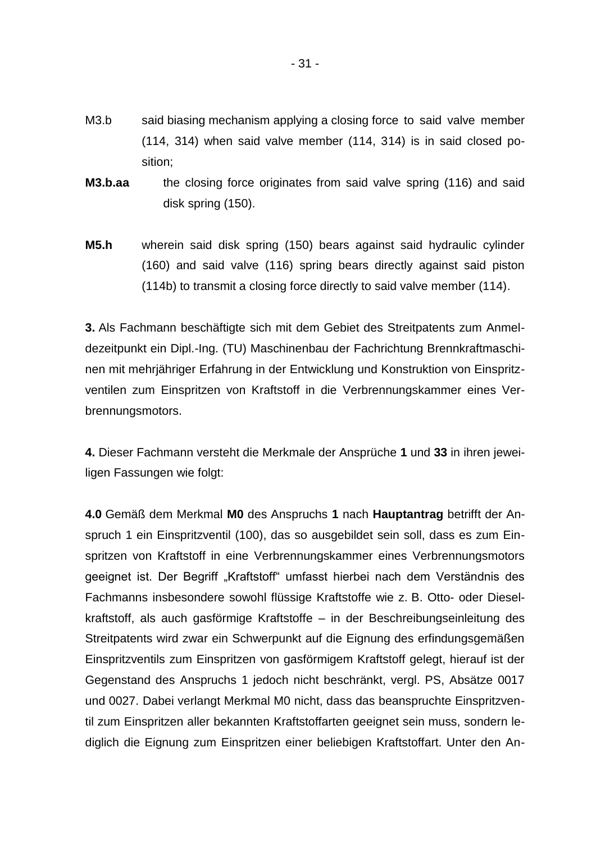- M3.b said biasing mechanism applying a closing force to said valve member (114, 314) when said valve member (114, 314) is in said closed position;
- **M3.b.aa** the closing force originates from said valve spring (116) and said disk spring (150).
- **M5.h** wherein said disk spring (150) bears against said hydraulic cylinder (160) and said valve (116) spring bears directly against said piston (114b) to transmit a closing force directly to said valve member (114).

**3.** Als Fachmann beschäftigte sich mit dem Gebiet des Streitpatents zum Anmeldezeitpunkt ein Dipl.-Ing. (TU) Maschinenbau der Fachrichtung Brennkraftmaschinen mit mehrjähriger Erfahrung in der Entwicklung und Konstruktion von Einspritzventilen zum Einspritzen von Kraftstoff in die Verbrennungskammer eines Verbrennungsmotors.

**4.** Dieser Fachmann versteht die Merkmale der Ansprüche **1** und **33** in ihren jeweiligen Fassungen wie folgt:

**4.0** Gemäß dem Merkmal **M0** des Anspruchs **1** nach **Hauptantrag** betrifft der Anspruch 1 ein Einspritzventil (100), das so ausgebildet sein soll, dass es zum Einspritzen von Kraftstoff in eine Verbrennungskammer eines Verbrennungsmotors geeignet ist. Der Begriff "Kraftstoff" umfasst hierbei nach dem Verständnis des Fachmanns insbesondere sowohl flüssige Kraftstoffe wie z. B. Otto- oder Dieselkraftstoff, als auch gasförmige Kraftstoffe – in der Beschreibungseinleitung des Streitpatents wird zwar ein Schwerpunkt auf die Eignung des erfindungsgemäßen Einspritzventils zum Einspritzen von gasförmigem Kraftstoff gelegt, hierauf ist der Gegenstand des Anspruchs 1 jedoch nicht beschränkt, vergl. PS, Absätze 0017 und 0027. Dabei verlangt Merkmal M0 nicht, dass das beanspruchte Einspritzventil zum Einspritzen aller bekannten Kraftstoffarten geeignet sein muss, sondern lediglich die Eignung zum Einspritzen einer beliebigen Kraftstoffart. Unter den An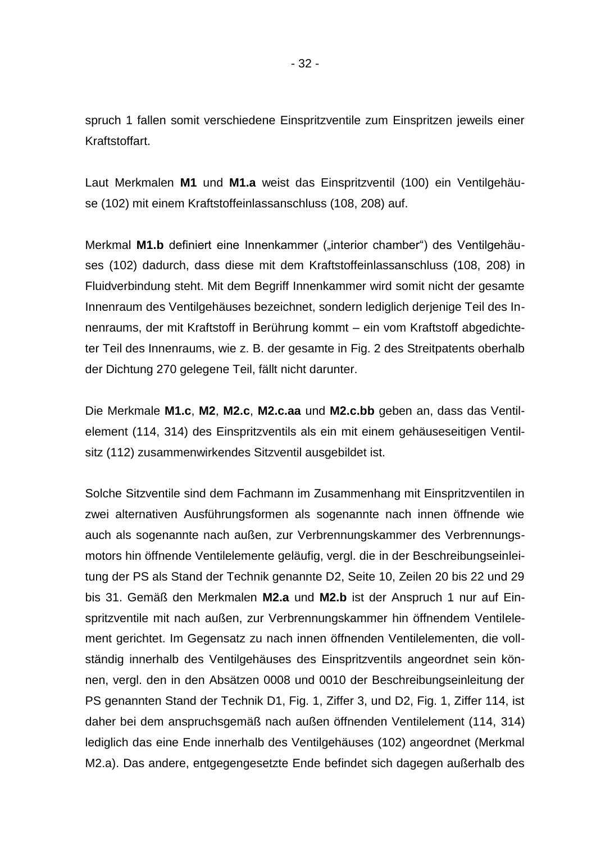spruch 1 fallen somit verschiedene Einspritzventile zum Einspritzen jeweils einer Kraftstoffart.

Laut Merkmalen **M1** und **M1.a** weist das Einspritzventil (100) ein Ventilgehäuse (102) mit einem Kraftstoffeinlassanschluss (108, 208) auf.

Merkmal M1.b definiert eine Innenkammer ("interior chamber") des Ventilgehäuses (102) dadurch, dass diese mit dem Kraftstoffeinlassanschluss (108, 208) in Fluidverbindung steht. Mit dem Begriff Innenkammer wird somit nicht der gesamte Innenraum des Ventilgehäuses bezeichnet, sondern lediglich derjenige Teil des Innenraums, der mit Kraftstoff in Berührung kommt – ein vom Kraftstoff abgedichteter Teil des Innenraums, wie z. B. der gesamte in Fig. 2 des Streitpatents oberhalb der Dichtung 270 gelegene Teil, fällt nicht darunter.

Die Merkmale **M1.c**, **M2**, **M2.c**, **M2.c.aa** und **M2.c.bb** geben an, dass das Ventilelement (114, 314) des Einspritzventils als ein mit einem gehäuseseitigen Ventilsitz (112) zusammenwirkendes Sitzventil ausgebildet ist.

Solche Sitzventile sind dem Fachmann im Zusammenhang mit Einspritzventilen in zwei alternativen Ausführungsformen als sogenannte nach innen öffnende wie auch als sogenannte nach außen, zur Verbrennungskammer des Verbrennungsmotors hin öffnende Ventilelemente geläufig, vergl. die in der Beschreibungseinleitung der PS als Stand der Technik genannte D2, Seite 10, Zeilen 20 bis 22 und 29 bis 31. Gemäß den Merkmalen **M2.a** und **M2.b** ist der Anspruch 1 nur auf Einspritzventile mit nach außen, zur Verbrennungskammer hin öffnendem Ventilelement gerichtet. Im Gegensatz zu nach innen öffnenden Ventilelementen, die vollständig innerhalb des Ventilgehäuses des Einspritzventils angeordnet sein können, vergl. den in den Absätzen 0008 und 0010 der Beschreibungseinleitung der PS genannten Stand der Technik D1, Fig. 1, Ziffer 3, und D2, Fig. 1, Ziffer 114, ist daher bei dem anspruchsgemäß nach außen öffnenden Ventilelement (114, 314) lediglich das eine Ende innerhalb des Ventilgehäuses (102) angeordnet (Merkmal M2.a). Das andere, entgegengesetzte Ende befindet sich dagegen außerhalb des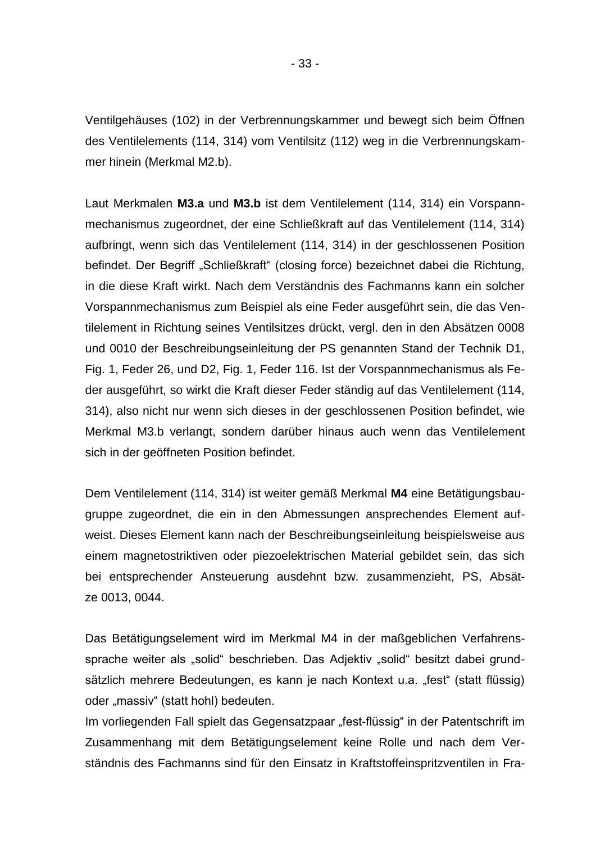Ventilgehäuses (102) in der Verbrennungskammer und bewegt sich beim Öffnen des Ventilelements (114, 314) vom Ventilsitz (112) weg in die Verbrennungskammer hinein (Merkmal M2.b).

Laut Merkmalen **M3.a** und **M3.b** ist dem Ventilelement (114, 314) ein Vorspannmechanismus zugeordnet, der eine Schließkraft auf das Ventilelement (114, 314) aufbringt, wenn sich das Ventilelement (114, 314) in der geschlossenen Position befindet. Der Begriff "Schließkraft" (closing force) bezeichnet dabei die Richtung, in die diese Kraft wirkt. Nach dem Verständnis des Fachmanns kann ein solcher Vorspannmechanismus zum Beispiel als eine Feder ausgeführt sein, die das Ventilelement in Richtung seines Ventilsitzes drückt, vergl. den in den Absätzen 0008 und 0010 der Beschreibungseinleitung der PS genannten Stand der Technik D1, Fig. 1, Feder 26, und D2, Fig. 1, Feder 116. Ist der Vorspannmechanismus als Feder ausgeführt, so wirkt die Kraft dieser Feder ständig auf das Ventilelement (114, 314), also nicht nur wenn sich dieses in der geschlossenen Position befindet, wie Merkmal M3.b verlangt, sondern darüber hinaus auch wenn das Ventilelement sich in der geöffneten Position befindet.

Dem Ventilelement (114, 314) ist weiter gemäß Merkmal **M4** eine Betätigungsbaugruppe zugeordnet, die ein in den Abmessungen ansprechendes Element aufweist. Dieses Element kann nach der Beschreibungseinleitung beispielsweise aus einem magnetostriktiven oder piezoelektrischen Material gebildet sein, das sich bei entsprechender Ansteuerung ausdehnt bzw. zusammenzieht, PS, Absätze 0013, 0044.

Das Betätigungselement wird im Merkmal M4 in der maßgeblichen Verfahrenssprache weiter als "solid" beschrieben. Das Adjektiv "solid" besitzt dabei grundsätzlich mehrere Bedeutungen, es kann je nach Kontext u.a. "fest" (statt flüssig) oder "massiv" (statt hohl) bedeuten.

Im vorliegenden Fall spielt das Gegensatzpaar "fest-flüssig" in der Patentschrift im Zusammenhang mit dem Betätigungselement keine Rolle und nach dem Verständnis des Fachmanns sind für den Einsatz in Kraftstoffeinspritzventilen in Fra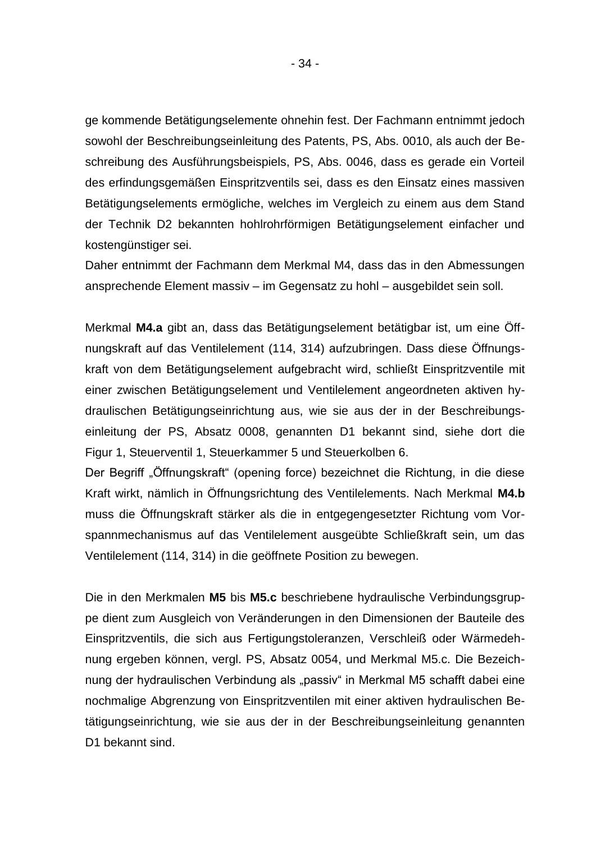ge kommende Betätigungselemente ohnehin fest. Der Fachmann entnimmt jedoch sowohl der Beschreibungseinleitung des Patents, PS, Abs. 0010, als auch der Beschreibung des Ausführungsbeispiels, PS, Abs. 0046, dass es gerade ein Vorteil des erfindungsgemäßen Einspritzventils sei, dass es den Einsatz eines massiven Betätigungselements ermögliche, welches im Vergleich zu einem aus dem Stand der Technik D2 bekannten hohlrohrförmigen Betätigungselement einfacher und kostengünstiger sei.

Daher entnimmt der Fachmann dem Merkmal M4, dass das in den Abmessungen ansprechende Element massiv – im Gegensatz zu hohl – ausgebildet sein soll.

Merkmal **M4.a** gibt an, dass das Betätigungselement betätigbar ist, um eine Öffnungskraft auf das Ventilelement (114, 314) aufzubringen. Dass diese Öffnungskraft von dem Betätigungselement aufgebracht wird, schließt Einspritzventile mit einer zwischen Betätigungselement und Ventilelement angeordneten aktiven hydraulischen Betätigungseinrichtung aus, wie sie aus der in der Beschreibungseinleitung der PS, Absatz 0008, genannten D1 bekannt sind, siehe dort die Figur 1, Steuerventil 1, Steuerkammer 5 und Steuerkolben 6.

Der Begriff "Öffnungskraft" (opening force) bezeichnet die Richtung, in die diese Kraft wirkt, nämlich in Öffnungsrichtung des Ventilelements. Nach Merkmal **M4.b** muss die Öffnungskraft stärker als die in entgegengesetzter Richtung vom Vorspannmechanismus auf das Ventilelement ausgeübte Schließkraft sein, um das Ventilelement (114, 314) in die geöffnete Position zu bewegen.

Die in den Merkmalen **M5** bis **M5.c** beschriebene hydraulische Verbindungsgruppe dient zum Ausgleich von Veränderungen in den Dimensionen der Bauteile des Einspritzventils, die sich aus Fertigungstoleranzen, Verschleiß oder Wärmedehnung ergeben können, vergl. PS, Absatz 0054, und Merkmal M5.c. Die Bezeichnung der hydraulischen Verbindung als "passiv" in Merkmal M5 schafft dabei eine nochmalige Abgrenzung von Einspritzventilen mit einer aktiven hydraulischen Betätigungseinrichtung, wie sie aus der in der Beschreibungseinleitung genannten D1 bekannt sind.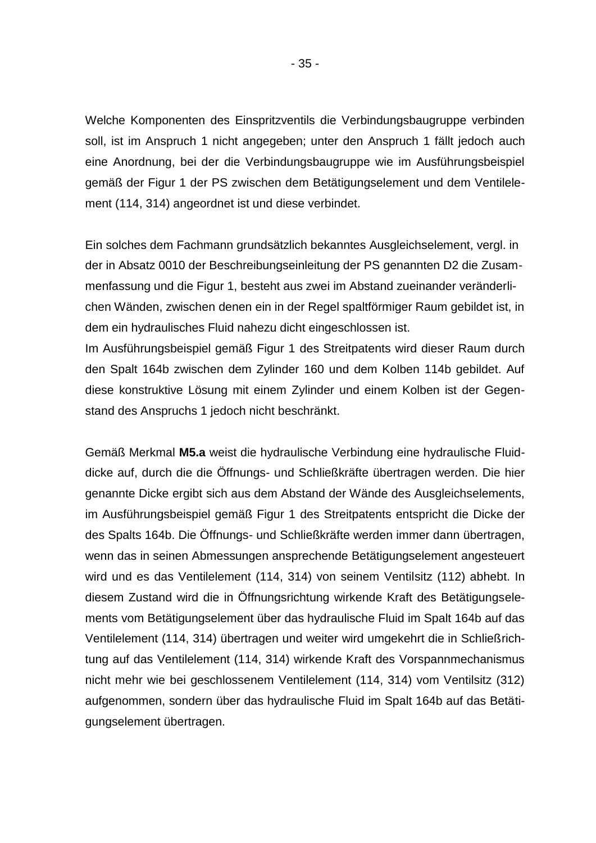Welche Komponenten des Einspritzventils die Verbindungsbaugruppe verbinden soll, ist im Anspruch 1 nicht angegeben; unter den Anspruch 1 fällt jedoch auch eine Anordnung, bei der die Verbindungsbaugruppe wie im Ausführungsbeispiel gemäß der Figur 1 der PS zwischen dem Betätigungselement und dem Ventilelement (114, 314) angeordnet ist und diese verbindet.

Ein solches dem Fachmann grundsätzlich bekanntes Ausgleichselement, vergl. in der in Absatz 0010 der Beschreibungseinleitung der PS genannten D2 die Zusammenfassung und die Figur 1, besteht aus zwei im Abstand zueinander veränderlichen Wänden, zwischen denen ein in der Regel spaltförmiger Raum gebildet ist, in dem ein hydraulisches Fluid nahezu dicht eingeschlossen ist.

Im Ausführungsbeispiel gemäß Figur 1 des Streitpatents wird dieser Raum durch den Spalt 164b zwischen dem Zylinder 160 und dem Kolben 114b gebildet. Auf diese konstruktive Lösung mit einem Zylinder und einem Kolben ist der Gegenstand des Anspruchs 1 jedoch nicht beschränkt.

Gemäß Merkmal **M5.a** weist die hydraulische Verbindung eine hydraulische Fluiddicke auf, durch die die Öffnungs- und Schließkräfte übertragen werden. Die hier genannte Dicke ergibt sich aus dem Abstand der Wände des Ausgleichselements, im Ausführungsbeispiel gemäß Figur 1 des Streitpatents entspricht die Dicke der des Spalts 164b. Die Öffnungs- und Schließkräfte werden immer dann übertragen, wenn das in seinen Abmessungen ansprechende Betätigungselement angesteuert wird und es das Ventilelement (114, 314) von seinem Ventilsitz (112) abhebt. In diesem Zustand wird die in Öffnungsrichtung wirkende Kraft des Betätigungselements vom Betätigungselement über das hydraulische Fluid im Spalt 164b auf das Ventilelement (114, 314) übertragen und weiter wird umgekehrt die in Schließrichtung auf das Ventilelement (114, 314) wirkende Kraft des Vorspannmechanismus nicht mehr wie bei geschlossenem Ventilelement (114, 314) vom Ventilsitz (312) aufgenommen, sondern über das hydraulische Fluid im Spalt 164b auf das Betätigungselement übertragen.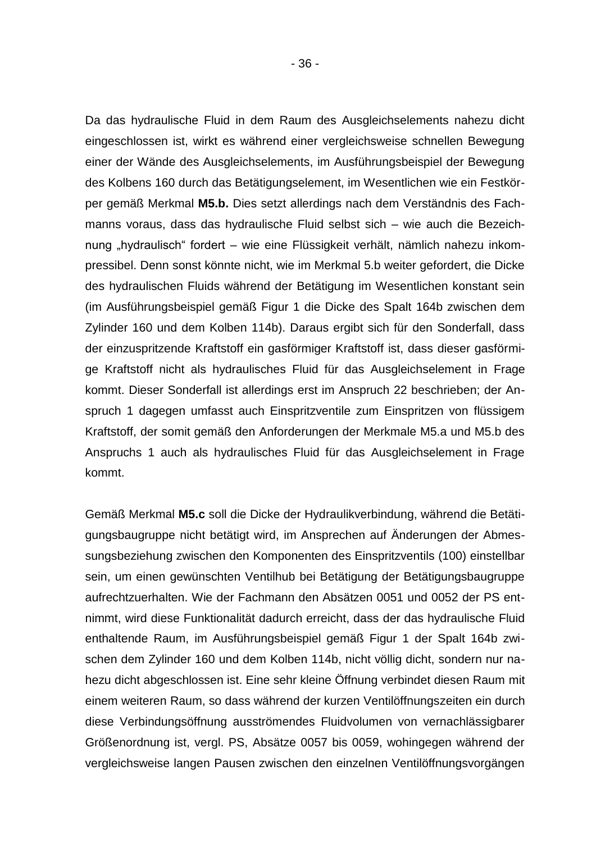Da das hydraulische Fluid in dem Raum des Ausgleichselements nahezu dicht eingeschlossen ist, wirkt es während einer vergleichsweise schnellen Bewegung einer der Wände des Ausgleichselements, im Ausführungsbeispiel der Bewegung des Kolbens 160 durch das Betätigungselement, im Wesentlichen wie ein Festkörper gemäß Merkmal **M5.b.** Dies setzt allerdings nach dem Verständnis des Fachmanns voraus, dass das hydraulische Fluid selbst sich – wie auch die Bezeichnung "hydraulisch" fordert – wie eine Flüssigkeit verhält, nämlich nahezu inkompressibel. Denn sonst könnte nicht, wie im Merkmal 5.b weiter gefordert, die Dicke des hydraulischen Fluids während der Betätigung im Wesentlichen konstant sein (im Ausführungsbeispiel gemäß Figur 1 die Dicke des Spalt 164b zwischen dem Zylinder 160 und dem Kolben 114b). Daraus ergibt sich für den Sonderfall, dass der einzuspritzende Kraftstoff ein gasförmiger Kraftstoff ist, dass dieser gasförmige Kraftstoff nicht als hydraulisches Fluid für das Ausgleichselement in Frage kommt. Dieser Sonderfall ist allerdings erst im Anspruch 22 beschrieben; der Anspruch 1 dagegen umfasst auch Einspritzventile zum Einspritzen von flüssigem Kraftstoff, der somit gemäß den Anforderungen der Merkmale M5.a und M5.b des Anspruchs 1 auch als hydraulisches Fluid für das Ausgleichselement in Frage kommt.

Gemäß Merkmal **M5.c** soll die Dicke der Hydraulikverbindung, während die Betätigungsbaugruppe nicht betätigt wird, im Ansprechen auf Änderungen der Abmessungsbeziehung zwischen den Komponenten des Einspritzventils (100) einstellbar sein, um einen gewünschten Ventilhub bei Betätigung der Betätigungsbaugruppe aufrechtzuerhalten. Wie der Fachmann den Absätzen 0051 und 0052 der PS entnimmt, wird diese Funktionalität dadurch erreicht, dass der das hydraulische Fluid enthaltende Raum, im Ausführungsbeispiel gemäß Figur 1 der Spalt 164b zwischen dem Zylinder 160 und dem Kolben 114b, nicht völlig dicht, sondern nur nahezu dicht abgeschlossen ist. Eine sehr kleine Öffnung verbindet diesen Raum mit einem weiteren Raum, so dass während der kurzen Ventilöffnungszeiten ein durch diese Verbindungsöffnung ausströmendes Fluidvolumen von vernachlässigbarer Größenordnung ist, vergl. PS, Absätze 0057 bis 0059, wohingegen während der vergleichsweise langen Pausen zwischen den einzelnen Ventilöffnungsvorgängen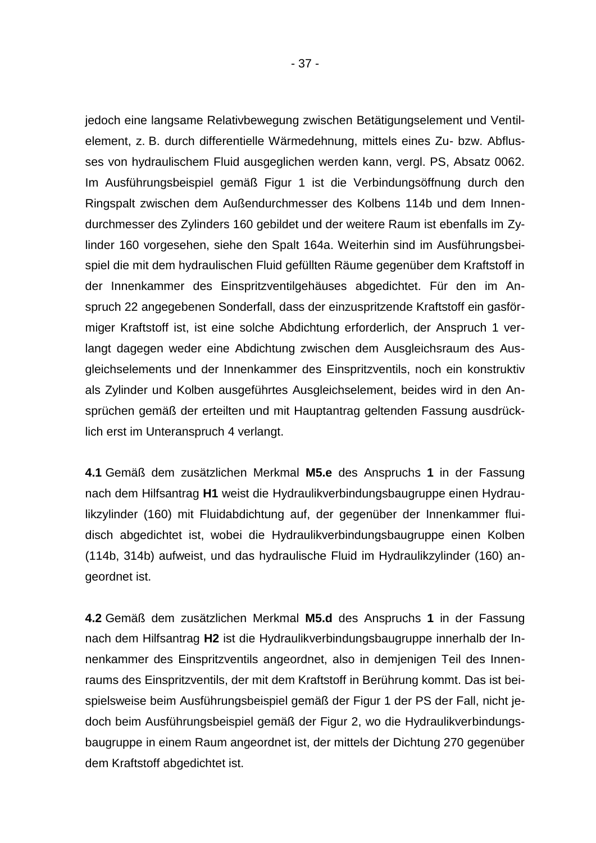jedoch eine langsame Relativbewegung zwischen Betätigungselement und Ventilelement, z. B. durch differentielle Wärmedehnung, mittels eines Zu- bzw. Abflusses von hydraulischem Fluid ausgeglichen werden kann, vergl. PS, Absatz 0062. Im Ausführungsbeispiel gemäß Figur 1 ist die Verbindungsöffnung durch den Ringspalt zwischen dem Außendurchmesser des Kolbens 114b und dem Innendurchmesser des Zylinders 160 gebildet und der weitere Raum ist ebenfalls im Zylinder 160 vorgesehen, siehe den Spalt 164a. Weiterhin sind im Ausführungsbeispiel die mit dem hydraulischen Fluid gefüllten Räume gegenüber dem Kraftstoff in der Innenkammer des Einspritzventilgehäuses abgedichtet. Für den im Anspruch 22 angegebenen Sonderfall, dass der einzuspritzende Kraftstoff ein gasförmiger Kraftstoff ist, ist eine solche Abdichtung erforderlich, der Anspruch 1 verlangt dagegen weder eine Abdichtung zwischen dem Ausgleichsraum des Ausgleichselements und der Innenkammer des Einspritzventils, noch ein konstruktiv als Zylinder und Kolben ausgeführtes Ausgleichselement, beides wird in den Ansprüchen gemäß der erteilten und mit Hauptantrag geltenden Fassung ausdrücklich erst im Unteranspruch 4 verlangt.

**4.1** Gemäß dem zusätzlichen Merkmal **M5.e** des Anspruchs **1** in der Fassung nach dem Hilfsantrag **H1** weist die Hydraulikverbindungsbaugruppe einen Hydraulikzylinder (160) mit Fluidabdichtung auf, der gegenüber der Innenkammer fluidisch abgedichtet ist, wobei die Hydraulikverbindungsbaugruppe einen Kolben (114b, 314b) aufweist, und das hydraulische Fluid im Hydraulikzylinder (160) angeordnet ist.

**4.2** Gemäß dem zusätzlichen Merkmal **M5.d** des Anspruchs **1** in der Fassung nach dem Hilfsantrag **H2** ist die Hydraulikverbindungsbaugruppe innerhalb der Innenkammer des Einspritzventils angeordnet, also in demjenigen Teil des Innenraums des Einspritzventils, der mit dem Kraftstoff in Berührung kommt. Das ist beispielsweise beim Ausführungsbeispiel gemäß der Figur 1 der PS der Fall, nicht jedoch beim Ausführungsbeispiel gemäß der Figur 2, wo die Hydraulikverbindungsbaugruppe in einem Raum angeordnet ist, der mittels der Dichtung 270 gegenüber dem Kraftstoff abgedichtet ist.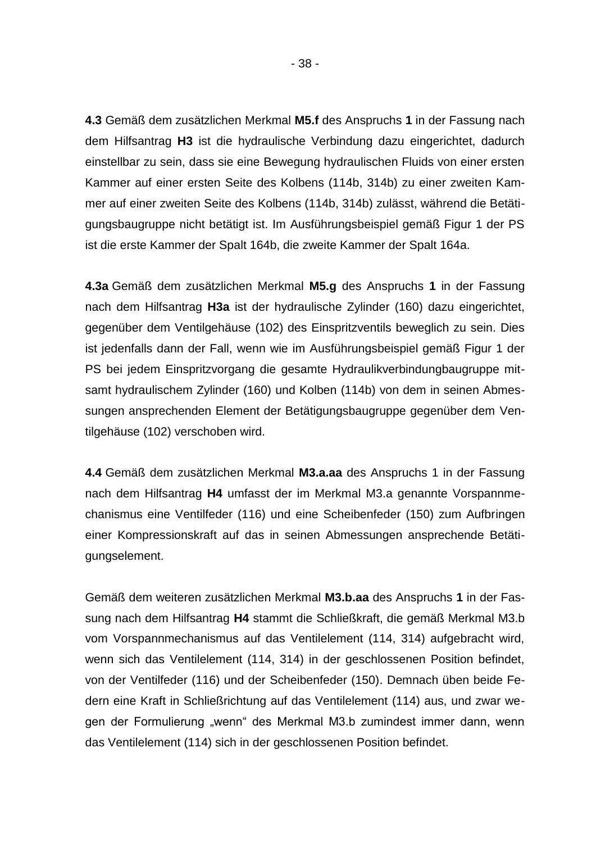**4.3** Gemäß dem zusätzlichen Merkmal **M5.f** des Anspruchs **1** in der Fassung nach dem Hilfsantrag **H3** ist die hydraulische Verbindung dazu eingerichtet, dadurch einstellbar zu sein, dass sie eine Bewegung hydraulischen Fluids von einer ersten Kammer auf einer ersten Seite des Kolbens (114b, 314b) zu einer zweiten Kammer auf einer zweiten Seite des Kolbens (114b, 314b) zulässt, während die Betätigungsbaugruppe nicht betätigt ist. Im Ausführungsbeispiel gemäß Figur 1 der PS ist die erste Kammer der Spalt 164b, die zweite Kammer der Spalt 164a.

**4.3a** Gemäß dem zusätzlichen Merkmal **M5.g** des Anspruchs **1** in der Fassung nach dem Hilfsantrag **H3a** ist der hydraulische Zylinder (160) dazu eingerichtet, gegenüber dem Ventilgehäuse (102) des Einspritzventils beweglich zu sein. Dies ist jedenfalls dann der Fall, wenn wie im Ausführungsbeispiel gemäß Figur 1 der PS bei jedem Einspritzvorgang die gesamte Hydraulikverbindungbaugruppe mitsamt hydraulischem Zylinder (160) und Kolben (114b) von dem in seinen Abmessungen ansprechenden Element der Betätigungsbaugruppe gegenüber dem Ventilgehäuse (102) verschoben wird.

**4.4** Gemäß dem zusätzlichen Merkmal **M3.a.aa** des Anspruchs 1 in der Fassung nach dem Hilfsantrag **H4** umfasst der im Merkmal M3.a genannte Vorspannmechanismus eine Ventilfeder (116) und eine Scheibenfeder (150) zum Aufbringen einer Kompressionskraft auf das in seinen Abmessungen ansprechende Betätigungselement.

Gemäß dem weiteren zusätzlichen Merkmal **M3.b.aa** des Anspruchs **1** in der Fassung nach dem Hilfsantrag **H4** stammt die Schließkraft, die gemäß Merkmal M3.b vom Vorspannmechanismus auf das Ventilelement (114, 314) aufgebracht wird, wenn sich das Ventilelement (114, 314) in der geschlossenen Position befindet, von der Ventilfeder (116) und der Scheibenfeder (150). Demnach üben beide Federn eine Kraft in Schließrichtung auf das Ventilelement (114) aus, und zwar wegen der Formulierung "wenn" des Merkmal M3.b zumindest immer dann, wenn das Ventilelement (114) sich in der geschlossenen Position befindet.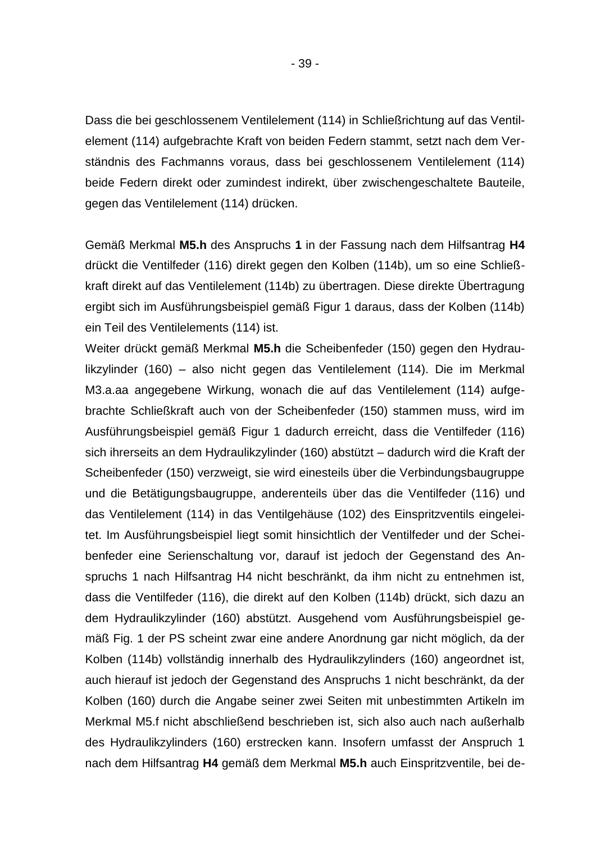Dass die bei geschlossenem Ventilelement (114) in Schließrichtung auf das Ventilelement (114) aufgebrachte Kraft von beiden Federn stammt, setzt nach dem Verständnis des Fachmanns voraus, dass bei geschlossenem Ventilelement (114) beide Federn direkt oder zumindest indirekt, über zwischengeschaltete Bauteile, gegen das Ventilelement (114) drücken.

Gemäß Merkmal **M5.h** des Anspruchs **1** in der Fassung nach dem Hilfsantrag **H4** drückt die Ventilfeder (116) direkt gegen den Kolben (114b), um so eine Schließkraft direkt auf das Ventilelement (114b) zu übertragen. Diese direkte Übertragung ergibt sich im Ausführungsbeispiel gemäß Figur 1 daraus, dass der Kolben (114b) ein Teil des Ventilelements (114) ist.

Weiter drückt gemäß Merkmal **M5.h** die Scheibenfeder (150) gegen den Hydraulikzylinder (160) – also nicht gegen das Ventilelement (114). Die im Merkmal M3.a.aa angegebene Wirkung, wonach die auf das Ventilelement (114) aufgebrachte Schließkraft auch von der Scheibenfeder (150) stammen muss, wird im Ausführungsbeispiel gemäß Figur 1 dadurch erreicht, dass die Ventilfeder (116) sich ihrerseits an dem Hydraulikzylinder (160) abstützt – dadurch wird die Kraft der Scheibenfeder (150) verzweigt, sie wird einesteils über die Verbindungsbaugruppe und die Betätigungsbaugruppe, anderenteils über das die Ventilfeder (116) und das Ventilelement (114) in das Ventilgehäuse (102) des Einspritzventils eingeleitet. Im Ausführungsbeispiel liegt somit hinsichtlich der Ventilfeder und der Scheibenfeder eine Serienschaltung vor, darauf ist jedoch der Gegenstand des Anspruchs 1 nach Hilfsantrag H4 nicht beschränkt, da ihm nicht zu entnehmen ist, dass die Ventilfeder (116), die direkt auf den Kolben (114b) drückt, sich dazu an dem Hydraulikzylinder (160) abstützt. Ausgehend vom Ausführungsbeispiel gemäß Fig. 1 der PS scheint zwar eine andere Anordnung gar nicht möglich, da der Kolben (114b) vollständig innerhalb des Hydraulikzylinders (160) angeordnet ist, auch hierauf ist jedoch der Gegenstand des Anspruchs 1 nicht beschränkt, da der Kolben (160) durch die Angabe seiner zwei Seiten mit unbestimmten Artikeln im Merkmal M5.f nicht abschließend beschrieben ist, sich also auch nach außerhalb des Hydraulikzylinders (160) erstrecken kann. Insofern umfasst der Anspruch 1 nach dem Hilfsantrag **H4** gemäß dem Merkmal **M5.h** auch Einspritzventile, bei de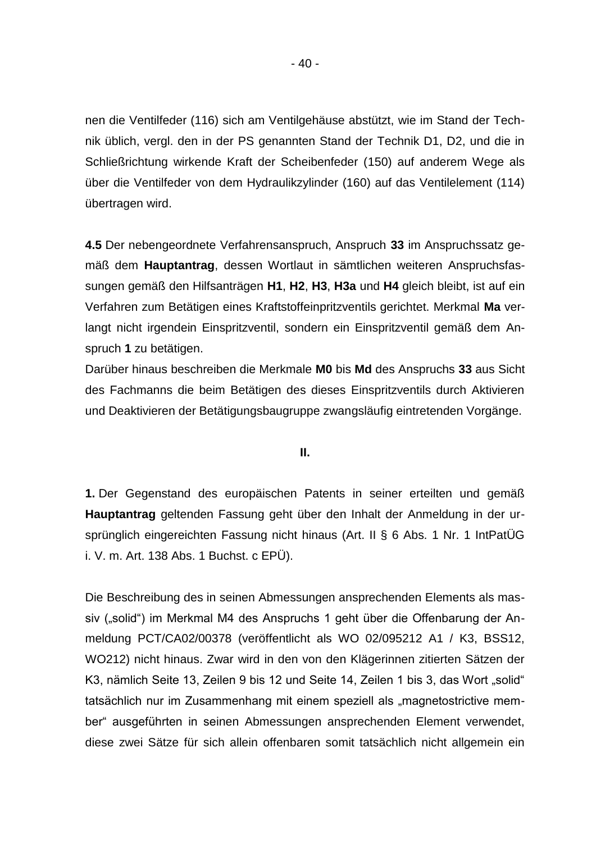nen die Ventilfeder (116) sich am Ventilgehäuse abstützt, wie im Stand der Technik üblich, vergl. den in der PS genannten Stand der Technik D1, D2, und die in Schließrichtung wirkende Kraft der Scheibenfeder (150) auf anderem Wege als über die Ventilfeder von dem Hydraulikzylinder (160) auf das Ventilelement (114) übertragen wird.

**4.5** Der nebengeordnete Verfahrensanspruch, Anspruch **33** im Anspruchssatz gemäß dem **Hauptantrag**, dessen Wortlaut in sämtlichen weiteren Anspruchsfassungen gemäß den Hilfsanträgen **H1**, **H2**, **H3**, **H3a** und **H4** gleich bleibt, ist auf ein Verfahren zum Betätigen eines Kraftstoffeinpritzventils gerichtet. Merkmal **Ma** verlangt nicht irgendein Einspritzventil, sondern ein Einspritzventil gemäß dem Anspruch **1** zu betätigen.

Darüber hinaus beschreiben die Merkmale **M0** bis **Md** des Anspruchs **33** aus Sicht des Fachmanns die beim Betätigen des dieses Einspritzventils durch Aktivieren und Deaktivieren der Betätigungsbaugruppe zwangsläufig eintretenden Vorgänge.

#### **II.**

**1.** Der Gegenstand des europäischen Patents in seiner erteilten und gemäß **Hauptantrag** geltenden Fassung geht über den Inhalt der Anmeldung in der ursprünglich eingereichten Fassung nicht hinaus (Art. II § 6 Abs. 1 Nr. 1 IntPatÜG i. V. m. Art. 138 Abs. 1 Buchst. c EPÜ).

Die Beschreibung des in seinen Abmessungen ansprechenden Elements als massiv ("solid") im Merkmal M4 des Anspruchs 1 geht über die Offenbarung der Anmeldung PCT/CA02/00378 (veröffentlicht als WO 02/095212 A1 / K3, BSS12, WO212) nicht hinaus. Zwar wird in den von den Klägerinnen zitierten Sätzen der K3, nämlich Seite 13, Zeilen 9 bis 12 und Seite 14, Zeilen 1 bis 3, das Wort "solid" tatsächlich nur im Zusammenhang mit einem speziell als "magnetostrictive member" ausgeführten in seinen Abmessungen ansprechenden Element verwendet, diese zwei Sätze für sich allein offenbaren somit tatsächlich nicht allgemein ein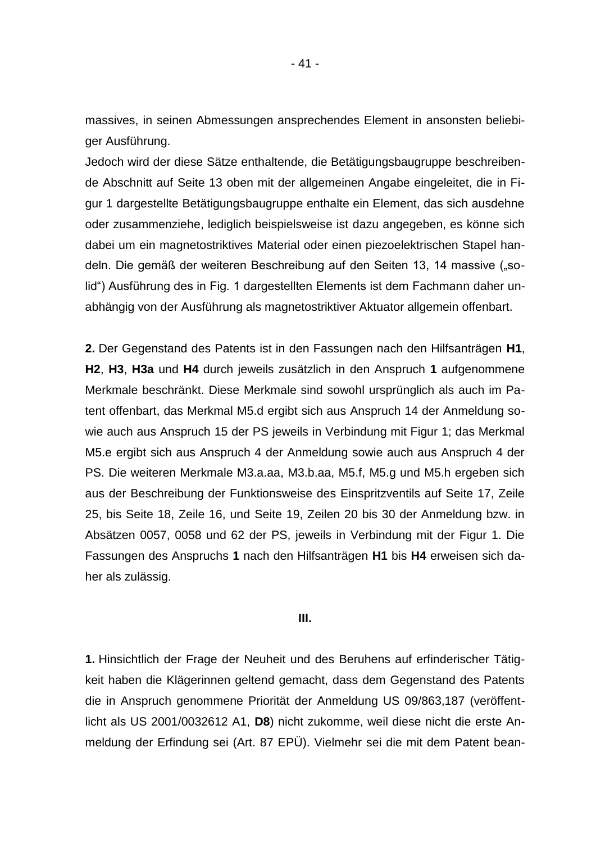massives, in seinen Abmessungen ansprechendes Element in ansonsten beliebiger Ausführung.

Jedoch wird der diese Sätze enthaltende, die Betätigungsbaugruppe beschreibende Abschnitt auf Seite 13 oben mit der allgemeinen Angabe eingeleitet, die in Figur 1 dargestellte Betätigungsbaugruppe enthalte ein Element, das sich ausdehne oder zusammenziehe, lediglich beispielsweise ist dazu angegeben, es könne sich dabei um ein magnetostriktives Material oder einen piezoelektrischen Stapel handeln. Die gemäß der weiteren Beschreibung auf den Seiten 13, 14 massive ("solid") Ausführung des in Fig. 1 dargestellten Elements ist dem Fachmann daher unabhängig von der Ausführung als magnetostriktiver Aktuator allgemein offenbart.

**2.** Der Gegenstand des Patents ist in den Fassungen nach den Hilfsanträgen **H1**, **H2**, **H3**, **H3a** und **H4** durch jeweils zusätzlich in den Anspruch **1** aufgenommene Merkmale beschränkt. Diese Merkmale sind sowohl ursprünglich als auch im Patent offenbart, das Merkmal M5.d ergibt sich aus Anspruch 14 der Anmeldung sowie auch aus Anspruch 15 der PS jeweils in Verbindung mit Figur 1; das Merkmal M5.e ergibt sich aus Anspruch 4 der Anmeldung sowie auch aus Anspruch 4 der PS. Die weiteren Merkmale M3.a.aa, M3.b.aa, M5.f, M5.g und M5.h ergeben sich aus der Beschreibung der Funktionsweise des Einspritzventils auf Seite 17, Zeile 25, bis Seite 18, Zeile 16, und Seite 19, Zeilen 20 bis 30 der Anmeldung bzw. in Absätzen 0057, 0058 und 62 der PS, jeweils in Verbindung mit der Figur 1. Die Fassungen des Anspruchs **1** nach den Hilfsanträgen **H1** bis **H4** erweisen sich daher als zulässig.

#### **III.**

**1.** Hinsichtlich der Frage der Neuheit und des Beruhens auf erfinderischer Tätigkeit haben die Klägerinnen geltend gemacht, dass dem Gegenstand des Patents die in Anspruch genommene Priorität der Anmeldung US 09/863,187 (veröffentlicht als US 2001/0032612 A1, **D8**) nicht zukomme, weil diese nicht die erste Anmeldung der Erfindung sei (Art. 87 EPÜ). Vielmehr sei die mit dem Patent bean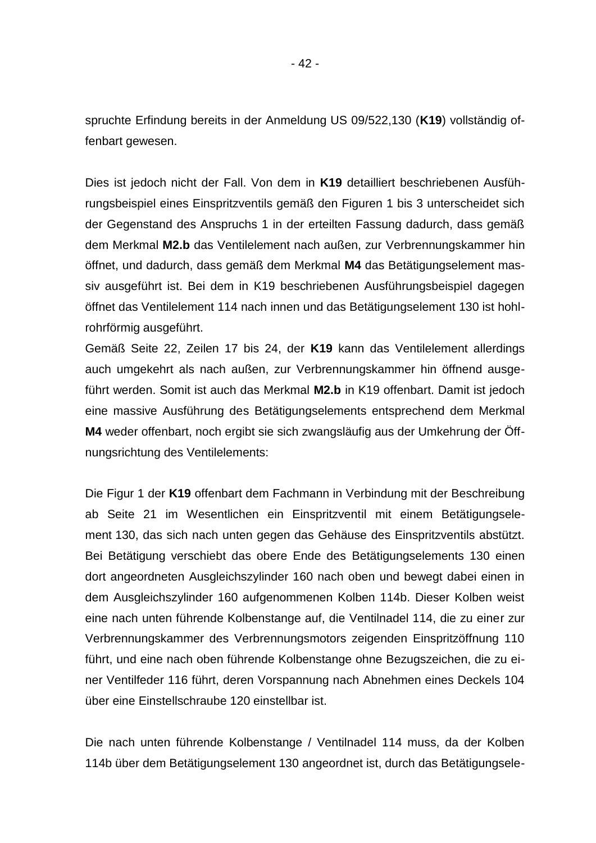spruchte Erfindung bereits in der Anmeldung US 09/522,130 (**K19**) vollständig offenbart gewesen.

Dies ist jedoch nicht der Fall. Von dem in **K19** detailliert beschriebenen Ausführungsbeispiel eines Einspritzventils gemäß den Figuren 1 bis 3 unterscheidet sich der Gegenstand des Anspruchs 1 in der erteilten Fassung dadurch, dass gemäß dem Merkmal **M2.b** das Ventilelement nach außen, zur Verbrennungskammer hin öffnet, und dadurch, dass gemäß dem Merkmal **M4** das Betätigungselement massiv ausgeführt ist. Bei dem in K19 beschriebenen Ausführungsbeispiel dagegen öffnet das Ventilelement 114 nach innen und das Betätigungselement 130 ist hohlrohrförmig ausgeführt.

Gemäß Seite 22, Zeilen 17 bis 24, der **K19** kann das Ventilelement allerdings auch umgekehrt als nach außen, zur Verbrennungskammer hin öffnend ausgeführt werden. Somit ist auch das Merkmal **M2.b** in K19 offenbart. Damit ist jedoch eine massive Ausführung des Betätigungselements entsprechend dem Merkmal **M4** weder offenbart, noch ergibt sie sich zwangsläufig aus der Umkehrung der Öffnungsrichtung des Ventilelements:

Die Figur 1 der **K19** offenbart dem Fachmann in Verbindung mit der Beschreibung ab Seite 21 im Wesentlichen ein Einspritzventil mit einem Betätigungselement 130, das sich nach unten gegen das Gehäuse des Einspritzventils abstützt. Bei Betätigung verschiebt das obere Ende des Betätigungselements 130 einen dort angeordneten Ausgleichszylinder 160 nach oben und bewegt dabei einen in dem Ausgleichszylinder 160 aufgenommenen Kolben 114b. Dieser Kolben weist eine nach unten führende Kolbenstange auf, die Ventilnadel 114, die zu einer zur Verbrennungskammer des Verbrennungsmotors zeigenden Einspritzöffnung 110 führt, und eine nach oben führende Kolbenstange ohne Bezugszeichen, die zu einer Ventilfeder 116 führt, deren Vorspannung nach Abnehmen eines Deckels 104 über eine Einstellschraube 120 einstellbar ist.

Die nach unten führende Kolbenstange / Ventilnadel 114 muss, da der Kolben 114b über dem Betätigungselement 130 angeordnet ist, durch das Betätigungsele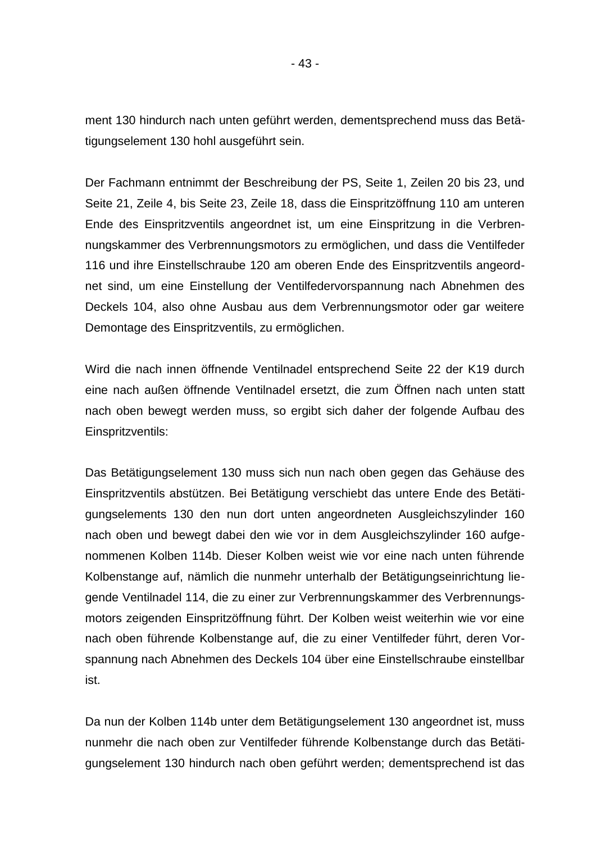ment 130 hindurch nach unten geführt werden, dementsprechend muss das Betätigungselement 130 hohl ausgeführt sein.

Der Fachmann entnimmt der Beschreibung der PS, Seite 1, Zeilen 20 bis 23, und Seite 21, Zeile 4, bis Seite 23, Zeile 18, dass die Einspritzöffnung 110 am unteren Ende des Einspritzventils angeordnet ist, um eine Einspritzung in die Verbrennungskammer des Verbrennungsmotors zu ermöglichen, und dass die Ventilfeder 116 und ihre Einstellschraube 120 am oberen Ende des Einspritzventils angeordnet sind, um eine Einstellung der Ventilfedervorspannung nach Abnehmen des Deckels 104, also ohne Ausbau aus dem Verbrennungsmotor oder gar weitere Demontage des Einspritzventils, zu ermöglichen.

Wird die nach innen öffnende Ventilnadel entsprechend Seite 22 der K19 durch eine nach außen öffnende Ventilnadel ersetzt, die zum Öffnen nach unten statt nach oben bewegt werden muss, so ergibt sich daher der folgende Aufbau des Einspritzventils:

Das Betätigungselement 130 muss sich nun nach oben gegen das Gehäuse des Einspritzventils abstützen. Bei Betätigung verschiebt das untere Ende des Betätigungselements 130 den nun dort unten angeordneten Ausgleichszylinder 160 nach oben und bewegt dabei den wie vor in dem Ausgleichszylinder 160 aufgenommenen Kolben 114b. Dieser Kolben weist wie vor eine nach unten führende Kolbenstange auf, nämlich die nunmehr unterhalb der Betätigungseinrichtung liegende Ventilnadel 114, die zu einer zur Verbrennungskammer des Verbrennungsmotors zeigenden Einspritzöffnung führt. Der Kolben weist weiterhin wie vor eine nach oben führende Kolbenstange auf, die zu einer Ventilfeder führt, deren Vorspannung nach Abnehmen des Deckels 104 über eine Einstellschraube einstellbar ist.

Da nun der Kolben 114b unter dem Betätigungselement 130 angeordnet ist, muss nunmehr die nach oben zur Ventilfeder führende Kolbenstange durch das Betätigungselement 130 hindurch nach oben geführt werden; dementsprechend ist das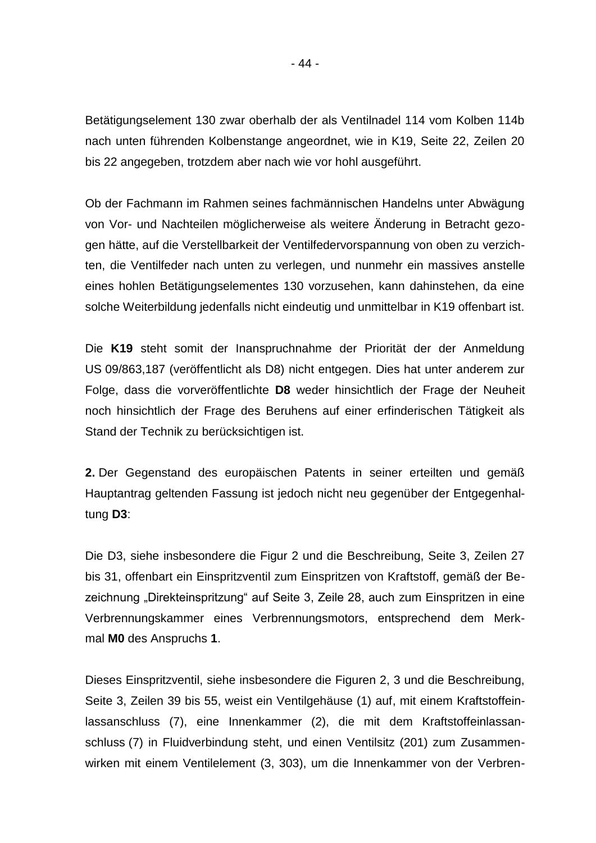Betätigungselement 130 zwar oberhalb der als Ventilnadel 114 vom Kolben 114b nach unten führenden Kolbenstange angeordnet, wie in K19, Seite 22, Zeilen 20 bis 22 angegeben, trotzdem aber nach wie vor hohl ausgeführt.

Ob der Fachmann im Rahmen seines fachmännischen Handelns unter Abwägung von Vor- und Nachteilen möglicherweise als weitere Änderung in Betracht gezogen hätte, auf die Verstellbarkeit der Ventilfedervorspannung von oben zu verzichten, die Ventilfeder nach unten zu verlegen, und nunmehr ein massives anstelle eines hohlen Betätigungselementes 130 vorzusehen, kann dahinstehen, da eine solche Weiterbildung jedenfalls nicht eindeutig und unmittelbar in K19 offenbart ist.

Die **K19** steht somit der Inanspruchnahme der Priorität der der Anmeldung US 09/863,187 (veröffentlicht als D8) nicht entgegen. Dies hat unter anderem zur Folge, dass die vorveröffentlichte **D8** weder hinsichtlich der Frage der Neuheit noch hinsichtlich der Frage des Beruhens auf einer erfinderischen Tätigkeit als Stand der Technik zu berücksichtigen ist.

**2.** Der Gegenstand des europäischen Patents in seiner erteilten und gemäß Hauptantrag geltenden Fassung ist jedoch nicht neu gegenüber der Entgegenhaltung **D3**:

Die D3, siehe insbesondere die Figur 2 und die Beschreibung, Seite 3, Zeilen 27 bis 31, offenbart ein Einspritzventil zum Einspritzen von Kraftstoff, gemäß der Bezeichnung "Direkteinspritzung" auf Seite 3, Zeile 28, auch zum Einspritzen in eine Verbrennungskammer eines Verbrennungsmotors, entsprechend dem Merkmal **M0** des Anspruchs **1**.

Dieses Einspritzventil, siehe insbesondere die Figuren 2, 3 und die Beschreibung, Seite 3, Zeilen 39 bis 55, weist ein Ventilgehäuse (1) auf, mit einem Kraftstoffeinlassanschluss (7), eine Innenkammer (2), die mit dem Kraftstoffeinlassanschluss (7) in Fluidverbindung steht, und einen Ventilsitz (201) zum Zusammenwirken mit einem Ventilelement (3, 303), um die Innenkammer von der Verbren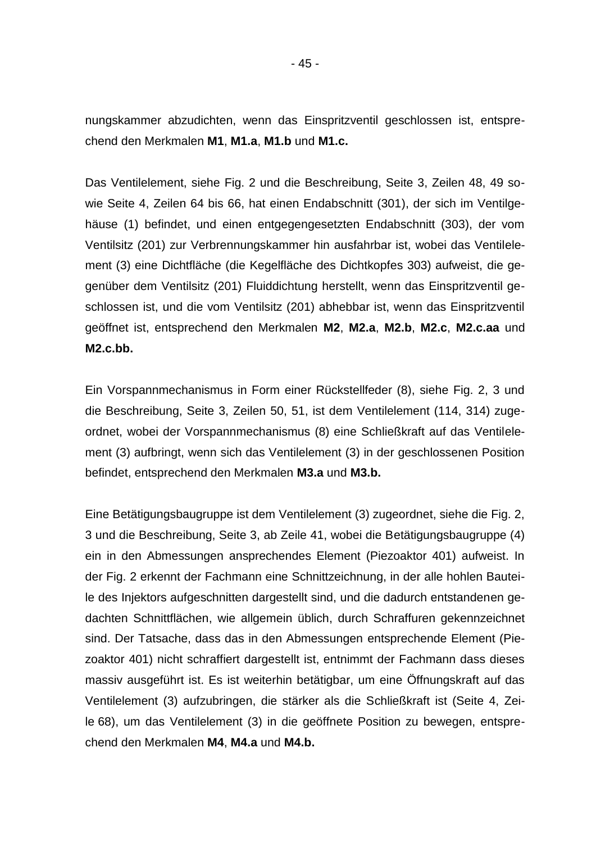nungskammer abzudichten, wenn das Einspritzventil geschlossen ist, entsprechend den Merkmalen **M1**, **M1.a**, **M1.b** und **M1.c.**

Das Ventilelement, siehe Fig. 2 und die Beschreibung, Seite 3, Zeilen 48, 49 sowie Seite 4, Zeilen 64 bis 66, hat einen Endabschnitt (301), der sich im Ventilgehäuse (1) befindet, und einen entgegengesetzten Endabschnitt (303), der vom Ventilsitz (201) zur Verbrennungskammer hin ausfahrbar ist, wobei das Ventilelement (3) eine Dichtfläche (die Kegelfläche des Dichtkopfes 303) aufweist, die gegenüber dem Ventilsitz (201) Fluiddichtung herstellt, wenn das Einspritzventil geschlossen ist, und die vom Ventilsitz (201) abhebbar ist, wenn das Einspritzventil geöffnet ist, entsprechend den Merkmalen **M2**, **M2.a**, **M2.b**, **M2.c**, **M2.c.aa** und **M2.c.bb.**

Ein Vorspannmechanismus in Form einer Rückstellfeder (8), siehe Fig. 2, 3 und die Beschreibung, Seite 3, Zeilen 50, 51, ist dem Ventilelement (114, 314) zugeordnet, wobei der Vorspannmechanismus (8) eine Schließkraft auf das Ventilelement (3) aufbringt, wenn sich das Ventilelement (3) in der geschlossenen Position befindet, entsprechend den Merkmalen **M3.a** und **M3.b.**

Eine Betätigungsbaugruppe ist dem Ventilelement (3) zugeordnet, siehe die Fig. 2, 3 und die Beschreibung, Seite 3, ab Zeile 41, wobei die Betätigungsbaugruppe (4) ein in den Abmessungen ansprechendes Element (Piezoaktor 401) aufweist. In der Fig. 2 erkennt der Fachmann eine Schnittzeichnung, in der alle hohlen Bauteile des Injektors aufgeschnitten dargestellt sind, und die dadurch entstandenen gedachten Schnittflächen, wie allgemein üblich, durch Schraffuren gekennzeichnet sind. Der Tatsache, dass das in den Abmessungen entsprechende Element (Piezoaktor 401) nicht schraffiert dargestellt ist, entnimmt der Fachmann dass dieses massiv ausgeführt ist. Es ist weiterhin betätigbar, um eine Öffnungskraft auf das Ventilelement (3) aufzubringen, die stärker als die Schließkraft ist (Seite 4, Zeile 68), um das Ventilelement (3) in die geöffnete Position zu bewegen, entsprechend den Merkmalen **M4**, **M4.a** und **M4.b.**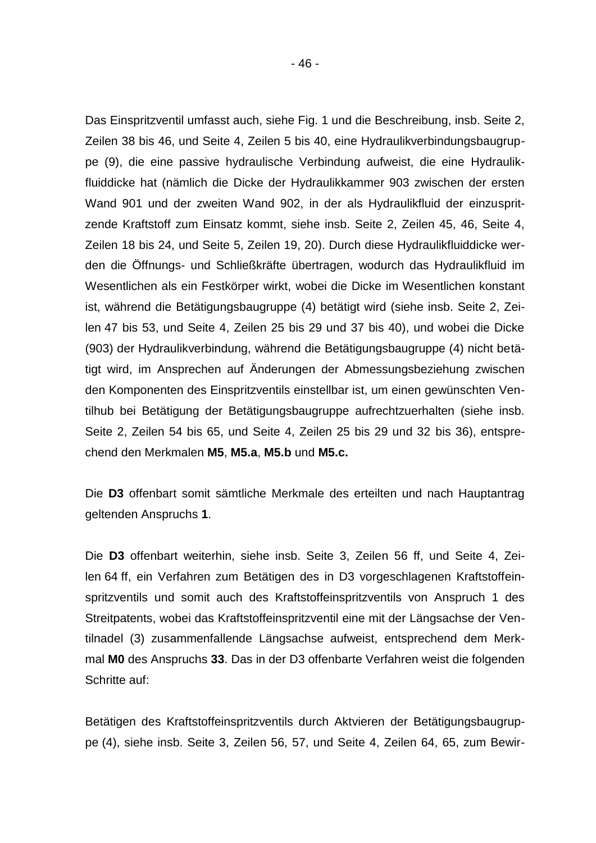Das Einspritzventil umfasst auch, siehe Fig. 1 und die Beschreibung, insb. Seite 2, Zeilen 38 bis 46, und Seite 4, Zeilen 5 bis 40, eine Hydraulikverbindungsbaugruppe (9), die eine passive hydraulische Verbindung aufweist, die eine Hydraulikfluiddicke hat (nämlich die Dicke der Hydraulikkammer 903 zwischen der ersten Wand 901 und der zweiten Wand 902, in der als Hydraulikfluid der einzuspritzende Kraftstoff zum Einsatz kommt, siehe insb. Seite 2, Zeilen 45, 46, Seite 4, Zeilen 18 bis 24, und Seite 5, Zeilen 19, 20). Durch diese Hydraulikfluiddicke werden die Öffnungs- und Schließkräfte übertragen, wodurch das Hydraulikfluid im Wesentlichen als ein Festkörper wirkt, wobei die Dicke im Wesentlichen konstant ist, während die Betätigungsbaugruppe (4) betätigt wird (siehe insb. Seite 2, Zeilen 47 bis 53, und Seite 4, Zeilen 25 bis 29 und 37 bis 40), und wobei die Dicke (903) der Hydraulikverbindung, während die Betätigungsbaugruppe (4) nicht betätigt wird, im Ansprechen auf Änderungen der Abmessungsbeziehung zwischen den Komponenten des Einspritzventils einstellbar ist, um einen gewünschten Ventilhub bei Betätigung der Betätigungsbaugruppe aufrechtzuerhalten (siehe insb. Seite 2, Zeilen 54 bis 65, und Seite 4, Zeilen 25 bis 29 und 32 bis 36), entsprechend den Merkmalen **M5**, **M5.a**, **M5.b** und **M5.c.**

Die **D3** offenbart somit sämtliche Merkmale des erteilten und nach Hauptantrag geltenden Anspruchs **1**.

Die **D3** offenbart weiterhin, siehe insb. Seite 3, Zeilen 56 ff, und Seite 4, Zeilen 64 ff, ein Verfahren zum Betätigen des in D3 vorgeschlagenen Kraftstoffeinspritzventils und somit auch des Kraftstoffeinspritzventils von Anspruch 1 des Streitpatents, wobei das Kraftstoffeinspritzventil eine mit der Längsachse der Ventilnadel (3) zusammenfallende Längsachse aufweist, entsprechend dem Merkmal **M0** des Anspruchs **33**. Das in der D3 offenbarte Verfahren weist die folgenden Schritte auf:

Betätigen des Kraftstoffeinspritzventils durch Aktvieren der Betätigungsbaugruppe (4), siehe insb. Seite 3, Zeilen 56, 57, und Seite 4, Zeilen 64, 65, zum Bewir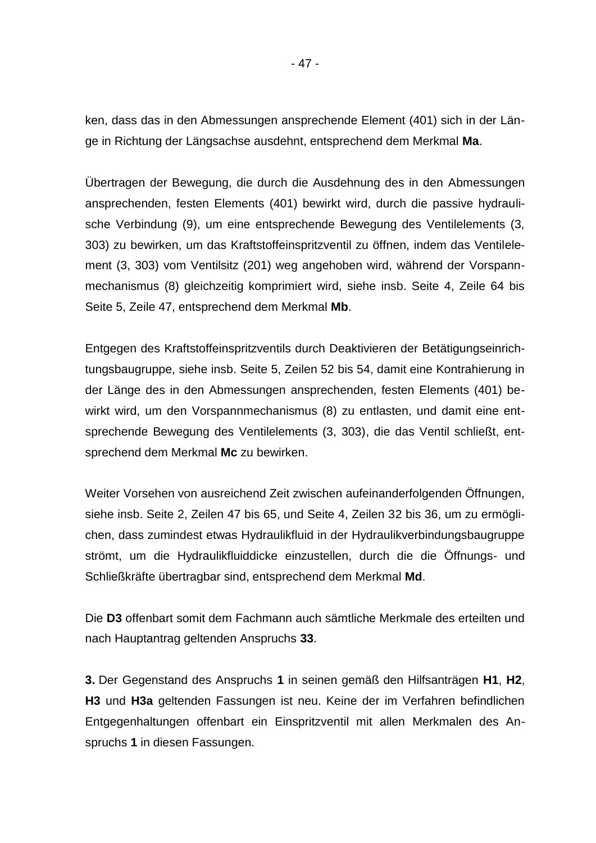ken, dass das in den Abmessungen ansprechende Element (401) sich in der Länge in Richtung der Längsachse ausdehnt, entsprechend dem Merkmal **Ma**.

Übertragen der Bewegung, die durch die Ausdehnung des in den Abmessungen ansprechenden, festen Elements (401) bewirkt wird, durch die passive hydraulische Verbindung (9), um eine entsprechende Bewegung des Ventilelements (3, 303) zu bewirken, um das Kraftstoffeinspritzventil zu öffnen, indem das Ventilelement (3, 303) vom Ventilsitz (201) weg angehoben wird, während der Vorspannmechanismus (8) gleichzeitig komprimiert wird, siehe insb. Seite 4, Zeile 64 bis Seite 5, Zeile 47, entsprechend dem Merkmal **Mb**.

Entgegen des Kraftstoffeinspritzventils durch Deaktivieren der Betätigungseinrichtungsbaugruppe, siehe insb. Seite 5, Zeilen 52 bis 54, damit eine Kontrahierung in der Länge des in den Abmessungen ansprechenden, festen Elements (401) bewirkt wird, um den Vorspannmechanismus (8) zu entlasten, und damit eine entsprechende Bewegung des Ventilelements (3, 303), die das Ventil schließt, entsprechend dem Merkmal **Mc** zu bewirken.

Weiter Vorsehen von ausreichend Zeit zwischen aufeinanderfolgenden Öffnungen, siehe insb. Seite 2, Zeilen 47 bis 65, und Seite 4, Zeilen 32 bis 36, um zu ermöglichen, dass zumindest etwas Hydraulikfluid in der Hydraulikverbindungsbaugruppe strömt, um die Hydraulikfluiddicke einzustellen, durch die die Öffnungs- und Schließkräfte übertragbar sind, entsprechend dem Merkmal **Md**.

Die **D3** offenbart somit dem Fachmann auch sämtliche Merkmale des erteilten und nach Hauptantrag geltenden Anspruchs **33**.

**3.** Der Gegenstand des Anspruchs **1** in seinen gemäß den Hilfsanträgen **H1**, **H2**, **H3** und **H3a** geltenden Fassungen ist neu. Keine der im Verfahren befindlichen Entgegenhaltungen offenbart ein Einspritzventil mit allen Merkmalen des Anspruchs **1** in diesen Fassungen.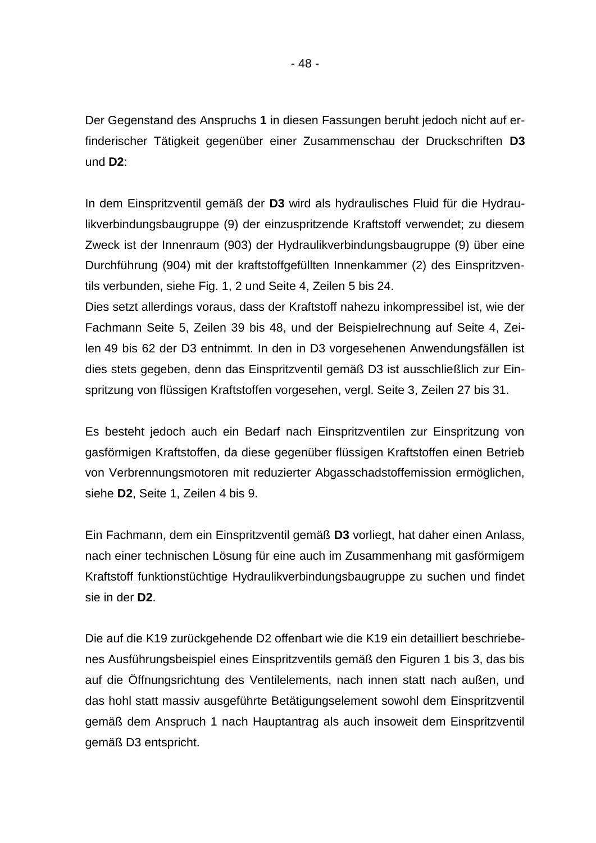Der Gegenstand des Anspruchs **1** in diesen Fassungen beruht jedoch nicht auf erfinderischer Tätigkeit gegenüber einer Zusammenschau der Druckschriften **D3** und **D2**:

In dem Einspritzventil gemäß der **D3** wird als hydraulisches Fluid für die Hydraulikverbindungsbaugruppe (9) der einzuspritzende Kraftstoff verwendet; zu diesem Zweck ist der Innenraum (903) der Hydraulikverbindungsbaugruppe (9) über eine Durchführung (904) mit der kraftstoffgefüllten Innenkammer (2) des Einspritzventils verbunden, siehe Fig. 1, 2 und Seite 4, Zeilen 5 bis 24.

Dies setzt allerdings voraus, dass der Kraftstoff nahezu inkompressibel ist, wie der Fachmann Seite 5, Zeilen 39 bis 48, und der Beispielrechnung auf Seite 4, Zeilen 49 bis 62 der D3 entnimmt. In den in D3 vorgesehenen Anwendungsfällen ist dies stets gegeben, denn das Einspritzventil gemäß D3 ist ausschließlich zur Einspritzung von flüssigen Kraftstoffen vorgesehen, vergl. Seite 3, Zeilen 27 bis 31.

Es besteht jedoch auch ein Bedarf nach Einspritzventilen zur Einspritzung von gasförmigen Kraftstoffen, da diese gegenüber flüssigen Kraftstoffen einen Betrieb von Verbrennungsmotoren mit reduzierter Abgasschadstoffemission ermöglichen, siehe **D2**, Seite 1, Zeilen 4 bis 9.

Ein Fachmann, dem ein Einspritzventil gemäß **D3** vorliegt, hat daher einen Anlass, nach einer technischen Lösung für eine auch im Zusammenhang mit gasförmigem Kraftstoff funktionstüchtige Hydraulikverbindungsbaugruppe zu suchen und findet sie in der **D2**.

Die auf die K19 zurückgehende D2 offenbart wie die K19 ein detailliert beschriebenes Ausführungsbeispiel eines Einspritzventils gemäß den Figuren 1 bis 3, das bis auf die Öffnungsrichtung des Ventilelements, nach innen statt nach außen, und das hohl statt massiv ausgeführte Betätigungselement sowohl dem Einspritzventil gemäß dem Anspruch 1 nach Hauptantrag als auch insoweit dem Einspritzventil gemäß D3 entspricht.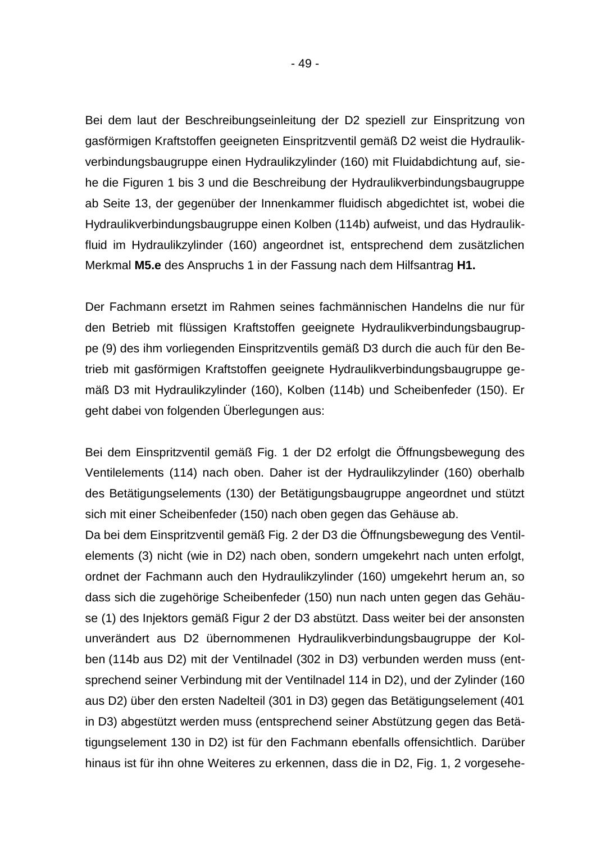Bei dem laut der Beschreibungseinleitung der D2 speziell zur Einspritzung von gasförmigen Kraftstoffen geeigneten Einspritzventil gemäß D2 weist die Hydraulikverbindungsbaugruppe einen Hydraulikzylinder (160) mit Fluidabdichtung auf, siehe die Figuren 1 bis 3 und die Beschreibung der Hydraulikverbindungsbaugruppe ab Seite 13, der gegenüber der Innenkammer fluidisch abgedichtet ist, wobei die Hydraulikverbindungsbaugruppe einen Kolben (114b) aufweist, und das Hydraulikfluid im Hydraulikzylinder (160) angeordnet ist, entsprechend dem zusätzlichen Merkmal **M5.e** des Anspruchs 1 in der Fassung nach dem Hilfsantrag **H1.**

Der Fachmann ersetzt im Rahmen seines fachmännischen Handelns die nur für den Betrieb mit flüssigen Kraftstoffen geeignete Hydraulikverbindungsbaugruppe (9) des ihm vorliegenden Einspritzventils gemäß D3 durch die auch für den Betrieb mit gasförmigen Kraftstoffen geeignete Hydraulikverbindungsbaugruppe gemäß D3 mit Hydraulikzylinder (160), Kolben (114b) und Scheibenfeder (150). Er geht dabei von folgenden Überlegungen aus:

Bei dem Einspritzventil gemäß Fig. 1 der D2 erfolgt die Öffnungsbewegung des Ventilelements (114) nach oben. Daher ist der Hydraulikzylinder (160) oberhalb des Betätigungselements (130) der Betätigungsbaugruppe angeordnet und stützt sich mit einer Scheibenfeder (150) nach oben gegen das Gehäuse ab.

Da bei dem Einspritzventil gemäß Fig. 2 der D3 die Öffnungsbewegung des Ventilelements (3) nicht (wie in D2) nach oben, sondern umgekehrt nach unten erfolgt, ordnet der Fachmann auch den Hydraulikzylinder (160) umgekehrt herum an, so dass sich die zugehörige Scheibenfeder (150) nun nach unten gegen das Gehäuse (1) des Injektors gemäß Figur 2 der D3 abstützt. Dass weiter bei der ansonsten unverändert aus D2 übernommenen Hydraulikverbindungsbaugruppe der Kolben (114b aus D2) mit der Ventilnadel (302 in D3) verbunden werden muss (entsprechend seiner Verbindung mit der Ventilnadel 114 in D2), und der Zylinder (160 aus D2) über den ersten Nadelteil (301 in D3) gegen das Betätigungselement (401 in D3) abgestützt werden muss (entsprechend seiner Abstützung gegen das Betätigungselement 130 in D2) ist für den Fachmann ebenfalls offensichtlich. Darüber hinaus ist für ihn ohne Weiteres zu erkennen, dass die in D2, Fig. 1, 2 vorgesehe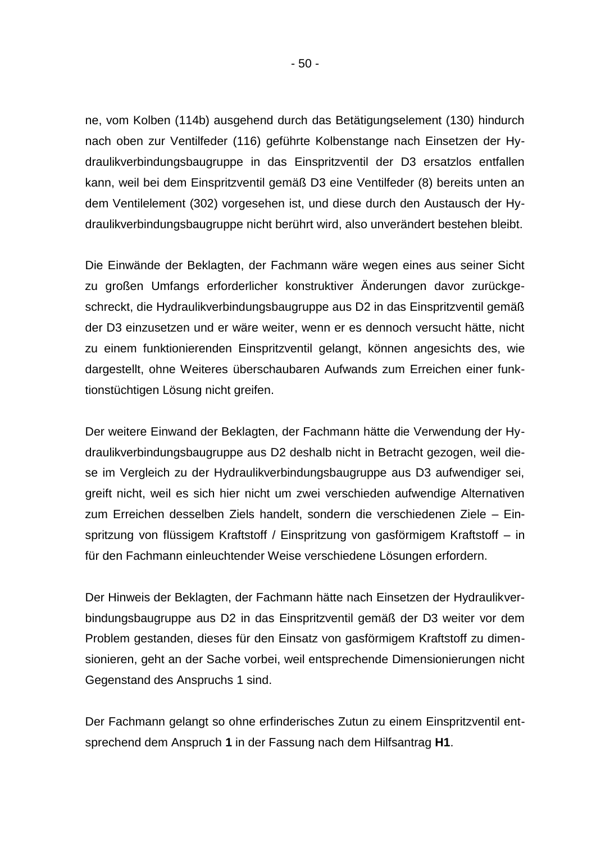ne, vom Kolben (114b) ausgehend durch das Betätigungselement (130) hindurch nach oben zur Ventilfeder (116) geführte Kolbenstange nach Einsetzen der Hydraulikverbindungsbaugruppe in das Einspritzventil der D3 ersatzlos entfallen kann, weil bei dem Einspritzventil gemäß D3 eine Ventilfeder (8) bereits unten an dem Ventilelement (302) vorgesehen ist, und diese durch den Austausch der Hydraulikverbindungsbaugruppe nicht berührt wird, also unverändert bestehen bleibt.

Die Einwände der Beklagten, der Fachmann wäre wegen eines aus seiner Sicht zu großen Umfangs erforderlicher konstruktiver Änderungen davor zurückgeschreckt, die Hydraulikverbindungsbaugruppe aus D2 in das Einspritzventil gemäß der D3 einzusetzen und er wäre weiter, wenn er es dennoch versucht hätte, nicht zu einem funktionierenden Einspritzventil gelangt, können angesichts des, wie dargestellt, ohne Weiteres überschaubaren Aufwands zum Erreichen einer funktionstüchtigen Lösung nicht greifen.

Der weitere Einwand der Beklagten, der Fachmann hätte die Verwendung der Hydraulikverbindungsbaugruppe aus D2 deshalb nicht in Betracht gezogen, weil diese im Vergleich zu der Hydraulikverbindungsbaugruppe aus D3 aufwendiger sei, greift nicht, weil es sich hier nicht um zwei verschieden aufwendige Alternativen zum Erreichen desselben Ziels handelt, sondern die verschiedenen Ziele – Einspritzung von flüssigem Kraftstoff / Einspritzung von gasförmigem Kraftstoff – in für den Fachmann einleuchtender Weise verschiedene Lösungen erfordern.

Der Hinweis der Beklagten, der Fachmann hätte nach Einsetzen der Hydraulikverbindungsbaugruppe aus D2 in das Einspritzventil gemäß der D3 weiter vor dem Problem gestanden, dieses für den Einsatz von gasförmigem Kraftstoff zu dimensionieren, geht an der Sache vorbei, weil entsprechende Dimensionierungen nicht Gegenstand des Anspruchs 1 sind.

Der Fachmann gelangt so ohne erfinderisches Zutun zu einem Einspritzventil entsprechend dem Anspruch **1** in der Fassung nach dem Hilfsantrag **H1**.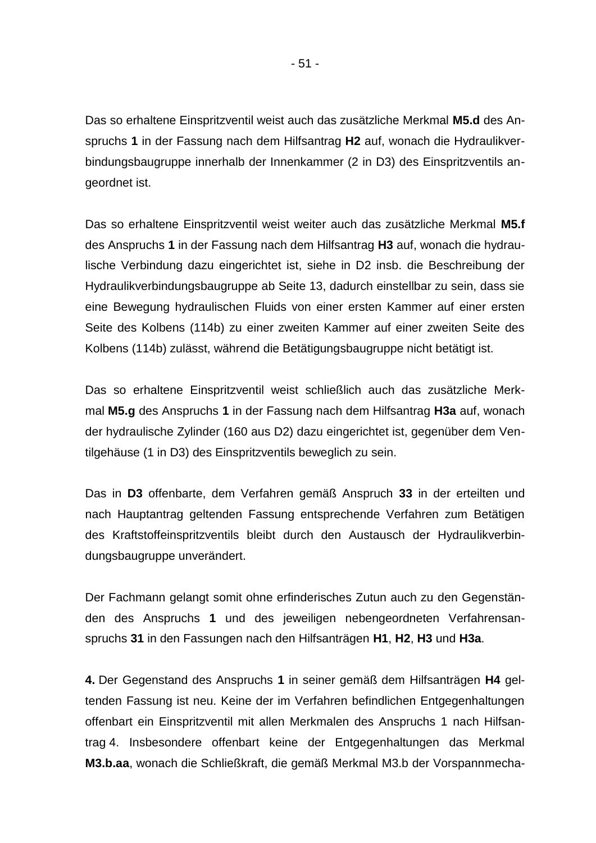Das so erhaltene Einspritzventil weist auch das zusätzliche Merkmal **M5.d** des Anspruchs **1** in der Fassung nach dem Hilfsantrag **H2** auf, wonach die Hydraulikverbindungsbaugruppe innerhalb der Innenkammer (2 in D3) des Einspritzventils angeordnet ist.

Das so erhaltene Einspritzventil weist weiter auch das zusätzliche Merkmal **M5.f** des Anspruchs **1** in der Fassung nach dem Hilfsantrag **H3** auf, wonach die hydraulische Verbindung dazu eingerichtet ist, siehe in D2 insb. die Beschreibung der Hydraulikverbindungsbaugruppe ab Seite 13, dadurch einstellbar zu sein, dass sie eine Bewegung hydraulischen Fluids von einer ersten Kammer auf einer ersten Seite des Kolbens (114b) zu einer zweiten Kammer auf einer zweiten Seite des Kolbens (114b) zulässt, während die Betätigungsbaugruppe nicht betätigt ist.

Das so erhaltene Einspritzventil weist schließlich auch das zusätzliche Merkmal **M5.g** des Anspruchs **1** in der Fassung nach dem Hilfsantrag **H3a** auf, wonach der hydraulische Zylinder (160 aus D2) dazu eingerichtet ist, gegenüber dem Ventilgehäuse (1 in D3) des Einspritzventils beweglich zu sein.

Das in **D3** offenbarte, dem Verfahren gemäß Anspruch **33** in der erteilten und nach Hauptantrag geltenden Fassung entsprechende Verfahren zum Betätigen des Kraftstoffeinspritzventils bleibt durch den Austausch der Hydraulikverbindungsbaugruppe unverändert.

Der Fachmann gelangt somit ohne erfinderisches Zutun auch zu den Gegenständen des Anspruchs **1** und des jeweiligen nebengeordneten Verfahrensanspruchs **31** in den Fassungen nach den Hilfsanträgen **H1**, **H2**, **H3** und **H3a**.

**4.** Der Gegenstand des Anspruchs **1** in seiner gemäß dem Hilfsanträgen **H4** geltenden Fassung ist neu. Keine der im Verfahren befindlichen Entgegenhaltungen offenbart ein Einspritzventil mit allen Merkmalen des Anspruchs 1 nach Hilfsantrag 4. Insbesondere offenbart keine der Entgegenhaltungen das Merkmal **M3.b.aa**, wonach die Schließkraft, die gemäß Merkmal M3.b der Vorspannmecha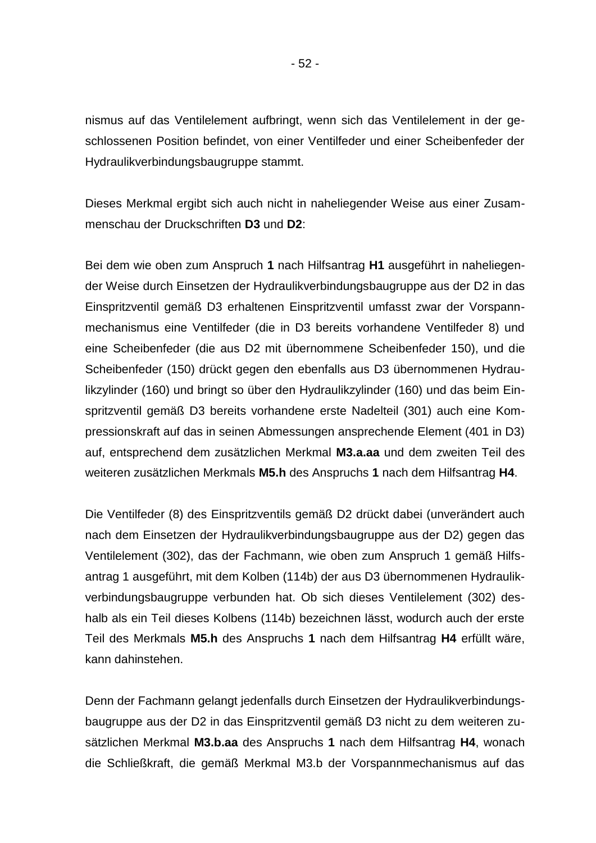nismus auf das Ventilelement aufbringt, wenn sich das Ventilelement in der geschlossenen Position befindet, von einer Ventilfeder und einer Scheibenfeder der Hydraulikverbindungsbaugruppe stammt.

Dieses Merkmal ergibt sich auch nicht in naheliegender Weise aus einer Zusammenschau der Druckschriften **D3** und **D2**:

Bei dem wie oben zum Anspruch **1** nach Hilfsantrag **H1** ausgeführt in naheliegender Weise durch Einsetzen der Hydraulikverbindungsbaugruppe aus der D2 in das Einspritzventil gemäß D3 erhaltenen Einspritzventil umfasst zwar der Vorspannmechanismus eine Ventilfeder (die in D3 bereits vorhandene Ventilfeder 8) und eine Scheibenfeder (die aus D2 mit übernommene Scheibenfeder 150), und die Scheibenfeder (150) drückt gegen den ebenfalls aus D3 übernommenen Hydraulikzylinder (160) und bringt so über den Hydraulikzylinder (160) und das beim Einspritzventil gemäß D3 bereits vorhandene erste Nadelteil (301) auch eine Kompressionskraft auf das in seinen Abmessungen ansprechende Element (401 in D3) auf, entsprechend dem zusätzlichen Merkmal **M3.a.aa** und dem zweiten Teil des weiteren zusätzlichen Merkmals **M5.h** des Anspruchs **1** nach dem Hilfsantrag **H4**.

Die Ventilfeder (8) des Einspritzventils gemäß D2 drückt dabei (unverändert auch nach dem Einsetzen der Hydraulikverbindungsbaugruppe aus der D2) gegen das Ventilelement (302), das der Fachmann, wie oben zum Anspruch 1 gemäß Hilfsantrag 1 ausgeführt, mit dem Kolben (114b) der aus D3 übernommenen Hydraulikverbindungsbaugruppe verbunden hat. Ob sich dieses Ventilelement (302) deshalb als ein Teil dieses Kolbens (114b) bezeichnen lässt, wodurch auch der erste Teil des Merkmals **M5.h** des Anspruchs **1** nach dem Hilfsantrag **H4** erfüllt wäre, kann dahinstehen.

Denn der Fachmann gelangt jedenfalls durch Einsetzen der Hydraulikverbindungsbaugruppe aus der D2 in das Einspritzventil gemäß D3 nicht zu dem weiteren zusätzlichen Merkmal **M3.b.aa** des Anspruchs **1** nach dem Hilfsantrag **H4**, wonach die Schließkraft, die gemäß Merkmal M3.b der Vorspannmechanismus auf das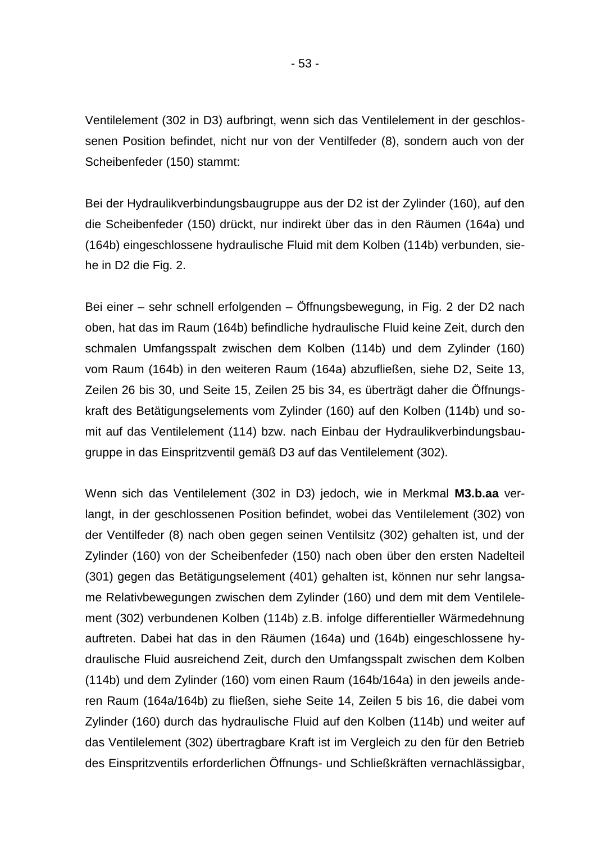Ventilelement (302 in D3) aufbringt, wenn sich das Ventilelement in der geschlossenen Position befindet, nicht nur von der Ventilfeder (8), sondern auch von der Scheibenfeder (150) stammt:

Bei der Hydraulikverbindungsbaugruppe aus der D2 ist der Zylinder (160), auf den die Scheibenfeder (150) drückt, nur indirekt über das in den Räumen (164a) und (164b) eingeschlossene hydraulische Fluid mit dem Kolben (114b) verbunden, siehe in D2 die Fig. 2.

Bei einer – sehr schnell erfolgenden – Öffnungsbewegung, in Fig. 2 der D2 nach oben, hat das im Raum (164b) befindliche hydraulische Fluid keine Zeit, durch den schmalen Umfangsspalt zwischen dem Kolben (114b) und dem Zylinder (160) vom Raum (164b) in den weiteren Raum (164a) abzufließen, siehe D2, Seite 13, Zeilen 26 bis 30, und Seite 15, Zeilen 25 bis 34, es überträgt daher die Öffnungskraft des Betätigungselements vom Zylinder (160) auf den Kolben (114b) und somit auf das Ventilelement (114) bzw. nach Einbau der Hydraulikverbindungsbaugruppe in das Einspritzventil gemäß D3 auf das Ventilelement (302).

Wenn sich das Ventilelement (302 in D3) jedoch, wie in Merkmal **M3.b.aa** verlangt, in der geschlossenen Position befindet, wobei das Ventilelement (302) von der Ventilfeder (8) nach oben gegen seinen Ventilsitz (302) gehalten ist, und der Zylinder (160) von der Scheibenfeder (150) nach oben über den ersten Nadelteil (301) gegen das Betätigungselement (401) gehalten ist, können nur sehr langsame Relativbewegungen zwischen dem Zylinder (160) und dem mit dem Ventilelement (302) verbundenen Kolben (114b) z.B. infolge differentieller Wärmedehnung auftreten. Dabei hat das in den Räumen (164a) und (164b) eingeschlossene hydraulische Fluid ausreichend Zeit, durch den Umfangsspalt zwischen dem Kolben (114b) und dem Zylinder (160) vom einen Raum (164b/164a) in den jeweils anderen Raum (164a/164b) zu fließen, siehe Seite 14, Zeilen 5 bis 16, die dabei vom Zylinder (160) durch das hydraulische Fluid auf den Kolben (114b) und weiter auf das Ventilelement (302) übertragbare Kraft ist im Vergleich zu den für den Betrieb des Einspritzventils erforderlichen Öffnungs- und Schließkräften vernachlässigbar,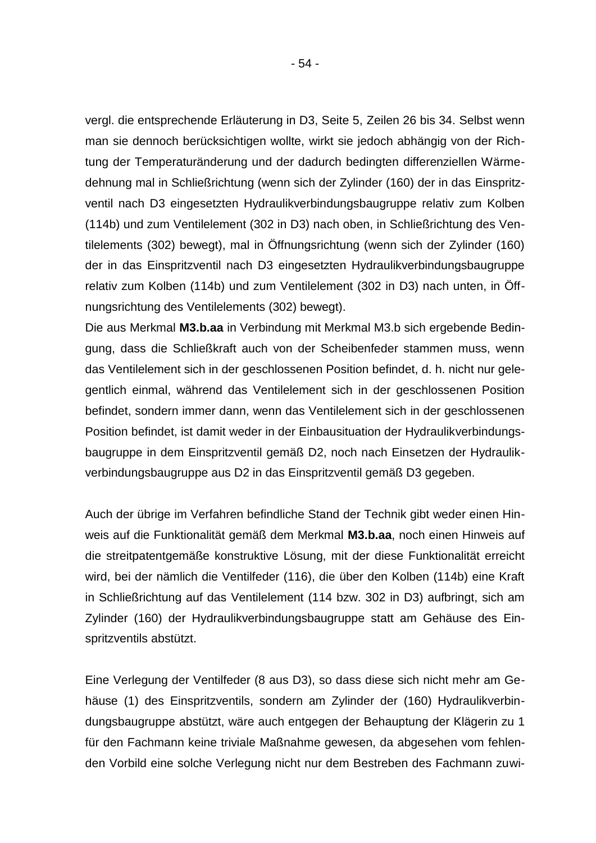vergl. die entsprechende Erläuterung in D3, Seite 5, Zeilen 26 bis 34. Selbst wenn man sie dennoch berücksichtigen wollte, wirkt sie jedoch abhängig von der Richtung der Temperaturänderung und der dadurch bedingten differenziellen Wärmedehnung mal in Schließrichtung (wenn sich der Zylinder (160) der in das Einspritzventil nach D3 eingesetzten Hydraulikverbindungsbaugruppe relativ zum Kolben (114b) und zum Ventilelement (302 in D3) nach oben, in Schließrichtung des Ventilelements (302) bewegt), mal in Öffnungsrichtung (wenn sich der Zylinder (160) der in das Einspritzventil nach D3 eingesetzten Hydraulikverbindungsbaugruppe relativ zum Kolben (114b) und zum Ventilelement (302 in D3) nach unten, in Öffnungsrichtung des Ventilelements (302) bewegt).

Die aus Merkmal **M3.b.aa** in Verbindung mit Merkmal M3.b sich ergebende Bedingung, dass die Schließkraft auch von der Scheibenfeder stammen muss, wenn das Ventilelement sich in der geschlossenen Position befindet, d. h. nicht nur gelegentlich einmal, während das Ventilelement sich in der geschlossenen Position befindet, sondern immer dann, wenn das Ventilelement sich in der geschlossenen Position befindet, ist damit weder in der Einbausituation der Hydraulikverbindungsbaugruppe in dem Einspritzventil gemäß D2, noch nach Einsetzen der Hydraulikverbindungsbaugruppe aus D2 in das Einspritzventil gemäß D3 gegeben.

Auch der übrige im Verfahren befindliche Stand der Technik gibt weder einen Hinweis auf die Funktionalität gemäß dem Merkmal **M3.b.aa**, noch einen Hinweis auf die streitpatentgemäße konstruktive Lösung, mit der diese Funktionalität erreicht wird, bei der nämlich die Ventilfeder (116), die über den Kolben (114b) eine Kraft in Schließrichtung auf das Ventilelement (114 bzw. 302 in D3) aufbringt, sich am Zylinder (160) der Hydraulikverbindungsbaugruppe statt am Gehäuse des Einspritzventils abstützt.

Eine Verlegung der Ventilfeder (8 aus D3), so dass diese sich nicht mehr am Gehäuse (1) des Einspritzventils, sondern am Zylinder der (160) Hydraulikverbindungsbaugruppe abstützt, wäre auch entgegen der Behauptung der Klägerin zu 1 für den Fachmann keine triviale Maßnahme gewesen, da abgesehen vom fehlenden Vorbild eine solche Verlegung nicht nur dem Bestreben des Fachmann zuwi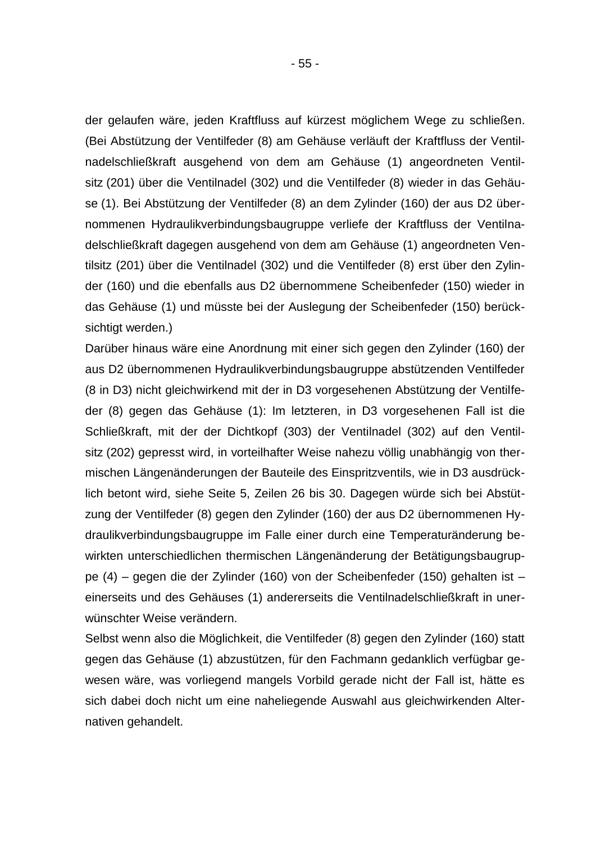der gelaufen wäre, jeden Kraftfluss auf kürzest möglichem Wege zu schließen. (Bei Abstützung der Ventilfeder (8) am Gehäuse verläuft der Kraftfluss der Ventilnadelschließkraft ausgehend von dem am Gehäuse (1) angeordneten Ventilsitz (201) über die Ventilnadel (302) und die Ventilfeder (8) wieder in das Gehäuse (1). Bei Abstützung der Ventilfeder (8) an dem Zylinder (160) der aus D2 übernommenen Hydraulikverbindungsbaugruppe verliefe der Kraftfluss der Ventilnadelschließkraft dagegen ausgehend von dem am Gehäuse (1) angeordneten Ventilsitz (201) über die Ventilnadel (302) und die Ventilfeder (8) erst über den Zylinder (160) und die ebenfalls aus D2 übernommene Scheibenfeder (150) wieder in das Gehäuse (1) und müsste bei der Auslegung der Scheibenfeder (150) berücksichtigt werden.)

Darüber hinaus wäre eine Anordnung mit einer sich gegen den Zylinder (160) der aus D2 übernommenen Hydraulikverbindungsbaugruppe abstützenden Ventilfeder (8 in D3) nicht gleichwirkend mit der in D3 vorgesehenen Abstützung der Ventilfeder (8) gegen das Gehäuse (1): Im letzteren, in D3 vorgesehenen Fall ist die Schließkraft, mit der der Dichtkopf (303) der Ventilnadel (302) auf den Ventilsitz (202) gepresst wird, in vorteilhafter Weise nahezu völlig unabhängig von thermischen Längenänderungen der Bauteile des Einspritzventils, wie in D3 ausdrücklich betont wird, siehe Seite 5, Zeilen 26 bis 30. Dagegen würde sich bei Abstützung der Ventilfeder (8) gegen den Zylinder (160) der aus D2 übernommenen Hydraulikverbindungsbaugruppe im Falle einer durch eine Temperaturänderung bewirkten unterschiedlichen thermischen Längenänderung der Betätigungsbaugruppe (4) – gegen die der Zylinder (160) von der Scheibenfeder (150) gehalten ist – einerseits und des Gehäuses (1) andererseits die Ventilnadelschließkraft in unerwünschter Weise verändern.

Selbst wenn also die Möglichkeit, die Ventilfeder (8) gegen den Zylinder (160) statt gegen das Gehäuse (1) abzustützen, für den Fachmann gedanklich verfügbar gewesen wäre, was vorliegend mangels Vorbild gerade nicht der Fall ist, hätte es sich dabei doch nicht um eine naheliegende Auswahl aus gleichwirkenden Alternativen gehandelt.